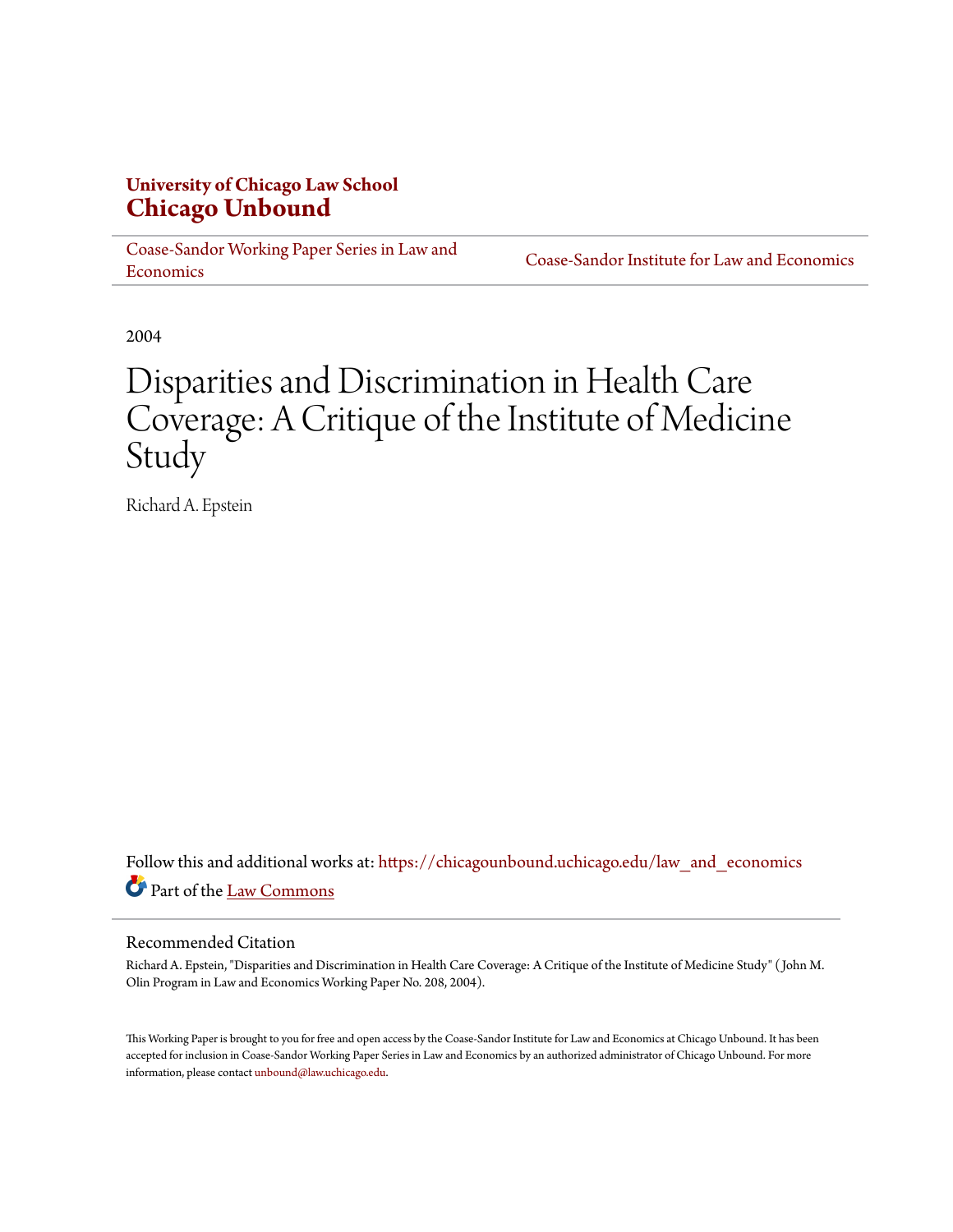## **University of Chicago Law School [Chicago Unbound](https://chicagounbound.uchicago.edu?utm_source=chicagounbound.uchicago.edu%2Flaw_and_economics%2F170&utm_medium=PDF&utm_campaign=PDFCoverPages)**

[Coase-Sandor Working Paper Series in Law and](https://chicagounbound.uchicago.edu/law_and_economics?utm_source=chicagounbound.uchicago.edu%2Flaw_and_economics%2F170&utm_medium=PDF&utm_campaign=PDFCoverPages) [Economics](https://chicagounbound.uchicago.edu/law_and_economics?utm_source=chicagounbound.uchicago.edu%2Flaw_and_economics%2F170&utm_medium=PDF&utm_campaign=PDFCoverPages)

[Coase-Sandor Institute for Law and Economics](https://chicagounbound.uchicago.edu/coase_sandor_institute?utm_source=chicagounbound.uchicago.edu%2Flaw_and_economics%2F170&utm_medium=PDF&utm_campaign=PDFCoverPages)

2004

# Disparities and Discrimination in Health Care Coverage: A Critique of the Institute of Medicine Study

Richard A. Epstein

Follow this and additional works at: [https://chicagounbound.uchicago.edu/law\\_and\\_economics](https://chicagounbound.uchicago.edu/law_and_economics?utm_source=chicagounbound.uchicago.edu%2Flaw_and_economics%2F170&utm_medium=PDF&utm_campaign=PDFCoverPages) Part of the [Law Commons](http://network.bepress.com/hgg/discipline/578?utm_source=chicagounbound.uchicago.edu%2Flaw_and_economics%2F170&utm_medium=PDF&utm_campaign=PDFCoverPages)

#### Recommended Citation

Richard A. Epstein, "Disparities and Discrimination in Health Care Coverage: A Critique of the Institute of Medicine Study" ( John M. Olin Program in Law and Economics Working Paper No. 208, 2004).

This Working Paper is brought to you for free and open access by the Coase-Sandor Institute for Law and Economics at Chicago Unbound. It has been accepted for inclusion in Coase-Sandor Working Paper Series in Law and Economics by an authorized administrator of Chicago Unbound. For more information, please contact [unbound@law.uchicago.edu.](mailto:unbound@law.uchicago.edu)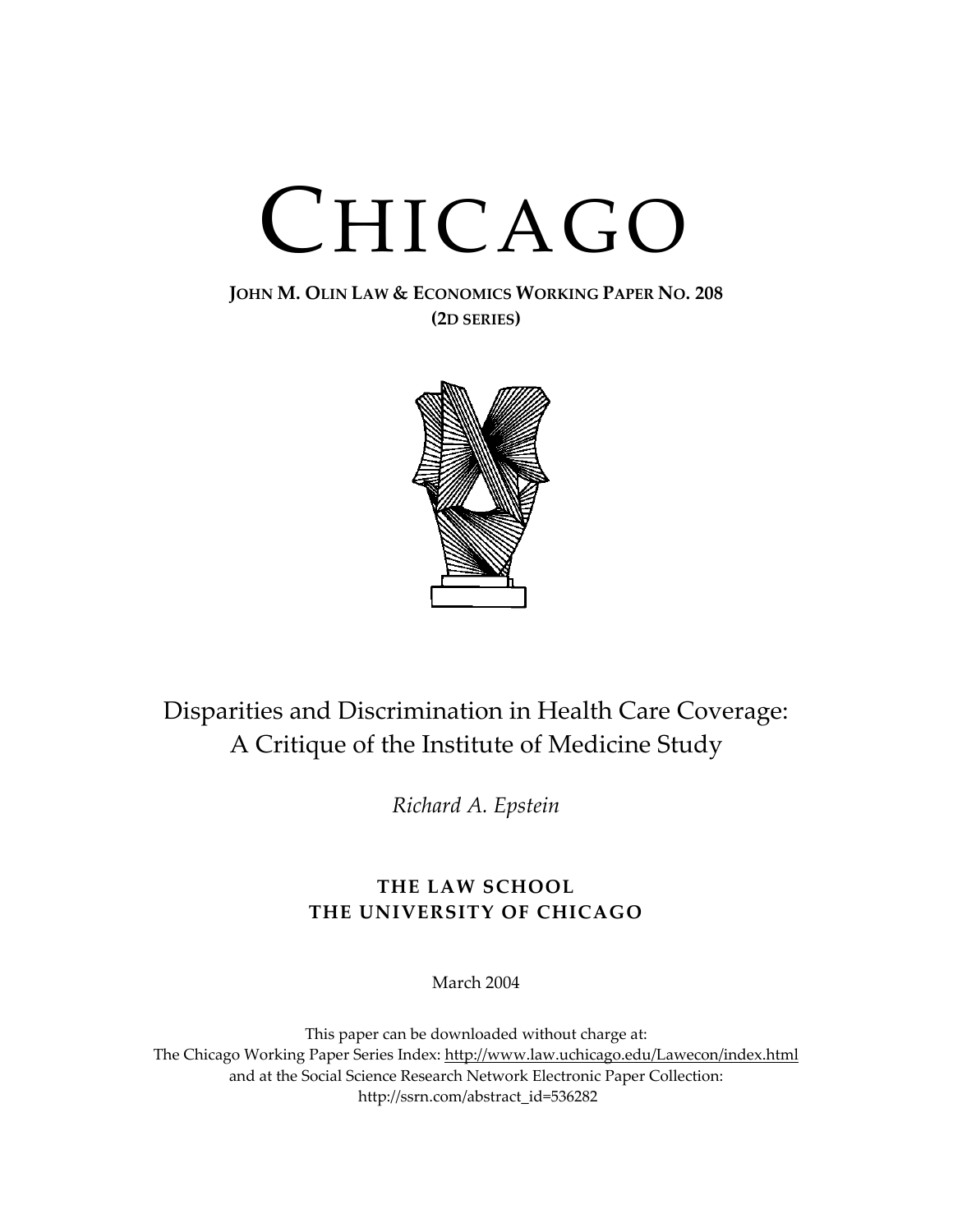# CHICAGO

### **JOHN M. OLIN LAW & ECONOMICS WORKING PAPER NO. 208 (2D SERIES)**



# Disparities and Discrimination in Health Care Coverage: A Critique of the Institute of Medicine Study

*Richard A. Epstein* 

# **THE LAW SCHOOL THE UNIVERSITY OF CHICAGO**

March 2004

This paper can be downloaded without charge at: The Chicago Working Paper Series Index: [http://www.law.uchicago.edu/Lawecon/index.html](http://www.law.uchicago.edu/Publications/Working/index.html) and at the Social Science Research Network Electronic Paper Collection: [http://ssrn.com/abstract\\_id=536282](http://papers.ssrn.com/sol3/search.taf)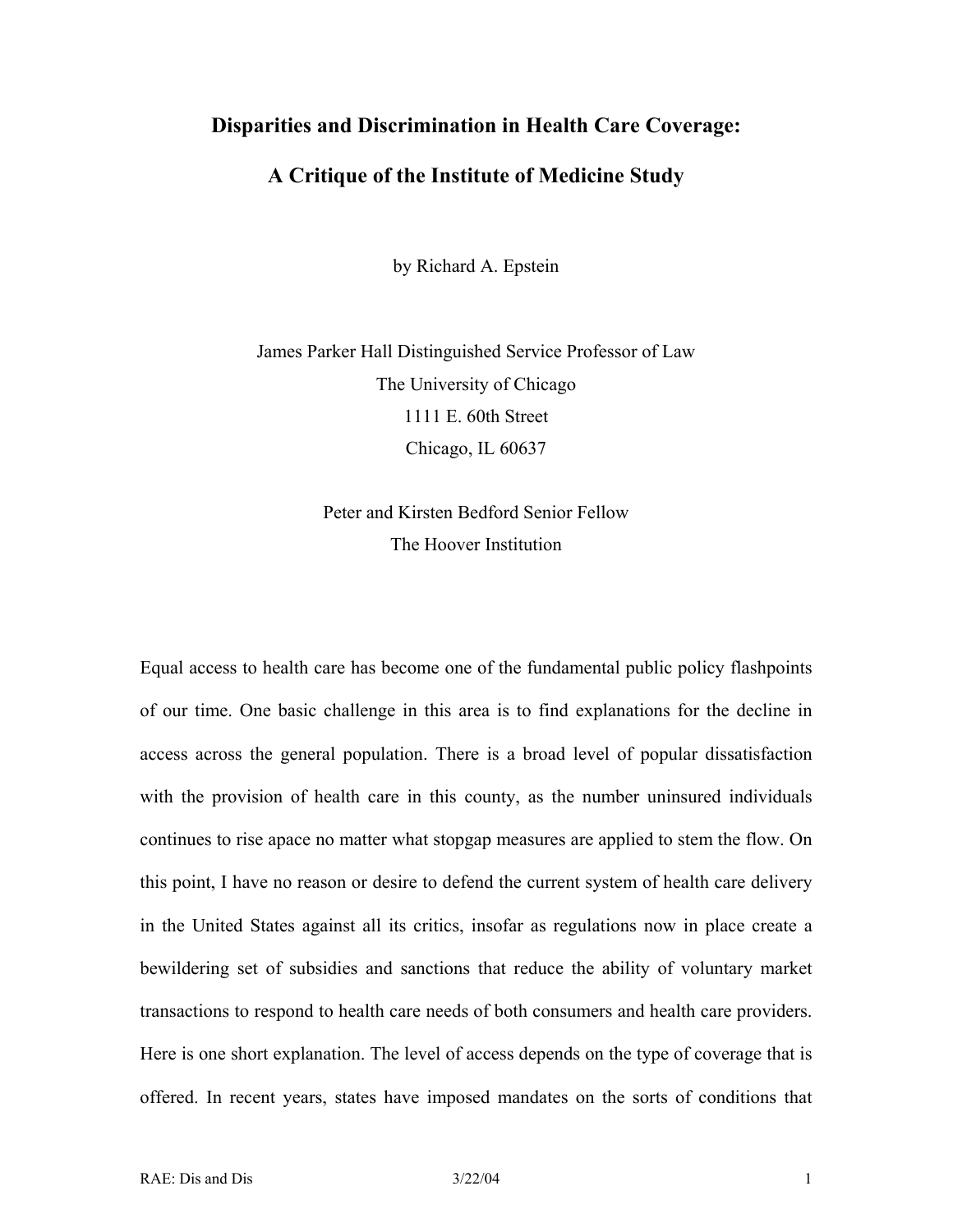#### **Disparities and Discrimination in Health Care Coverage:**

#### **A Critique of the Institute of Medicine Study**

by Richard A. Epstein

James Parker Hall Distinguished Service Professor of Law The University of Chicago 1111 E. 60th Street Chicago, IL 60637

# Peter and Kirsten Bedford Senior Fellow The Hoover Institution

Equal access to health care has become one of the fundamental public policy flashpoints of our time. One basic challenge in this area is to find explanations for the decline in access across the general population. There is a broad level of popular dissatisfaction with the provision of health care in this county, as the number uninsured individuals continues to rise apace no matter what stopgap measures are applied to stem the flow. On this point, I have no reason or desire to defend the current system of health care delivery in the United States against all its critics, insofar as regulations now in place create a bewildering set of subsidies and sanctions that reduce the ability of voluntary market transactions to respond to health care needs of both consumers and health care providers. Here is one short explanation. The level of access depends on the type of coverage that is offered. In recent years, states have imposed mandates on the sorts of conditions that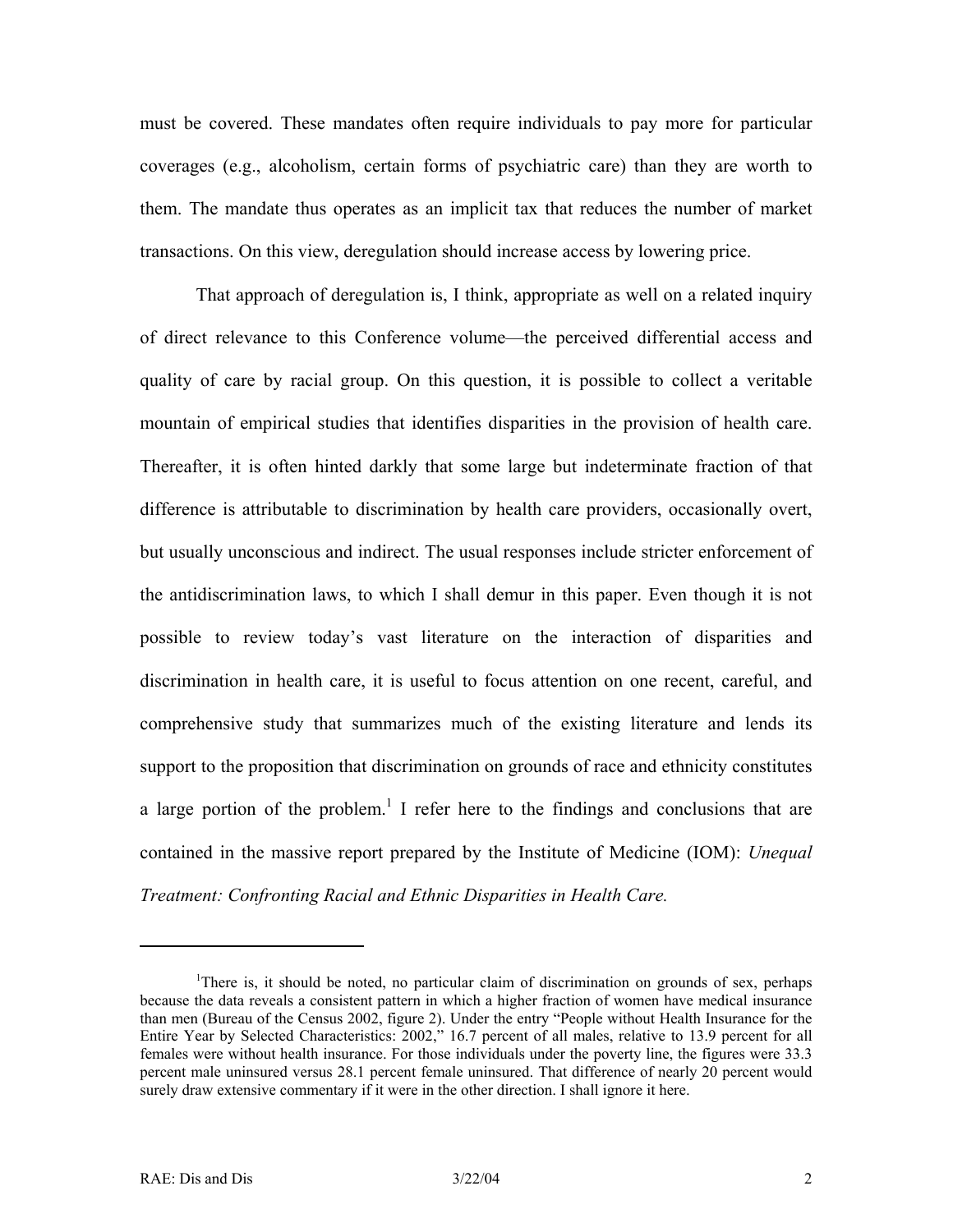must be covered. These mandates often require individuals to pay more for particular coverages (e.g., alcoholism, certain forms of psychiatric care) than they are worth to them. The mandate thus operates as an implicit tax that reduces the number of market transactions. On this view, deregulation should increase access by lowering price.

That approach of deregulation is, I think, appropriate as well on a related inquiry of direct relevance to this Conference volume—the perceived differential access and quality of care by racial group. On this question, it is possible to collect a veritable mountain of empirical studies that identifies disparities in the provision of health care. Thereafter, it is often hinted darkly that some large but indeterminate fraction of that difference is attributable to discrimination by health care providers, occasionally overt, but usually unconscious and indirect. The usual responses include stricter enforcement of the antidiscrimination laws, to which I shall demur in this paper. Even though it is not possible to review today's vast literature on the interaction of disparities and discrimination in health care, it is useful to focus attention on one recent, careful, and comprehensive study that summarizes much of the existing literature and lends its support to the proposition that discrimination on grounds of race and ethnicity constitutes a large portion of the problem.<sup>[1](#page-3-0)</sup> I refer here to the findings and conclusions that are contained in the massive report prepared by the Institute of Medicine (IOM): *Unequal Treatment: Confronting Racial and Ethnic Disparities in Health Care.* 

 $\overline{a}$ 

<span id="page-3-0"></span><sup>&</sup>lt;sup>1</sup>There is, it should be noted, no particular claim of discrimination on grounds of sex, perhaps because the data reveals a consistent pattern in which a higher fraction of women have medical insurance than men (Bureau of the Census 2002, figure 2). Under the entry "People without Health Insurance for the Entire Year by Selected Characteristics: 2002," 16.7 percent of all males, relative to 13.9 percent for all females were without health insurance. For those individuals under the poverty line, the figures were 33.3 percent male uninsured versus 28.1 percent female uninsured. That difference of nearly 20 percent would surely draw extensive commentary if it were in the other direction. I shall ignore it here.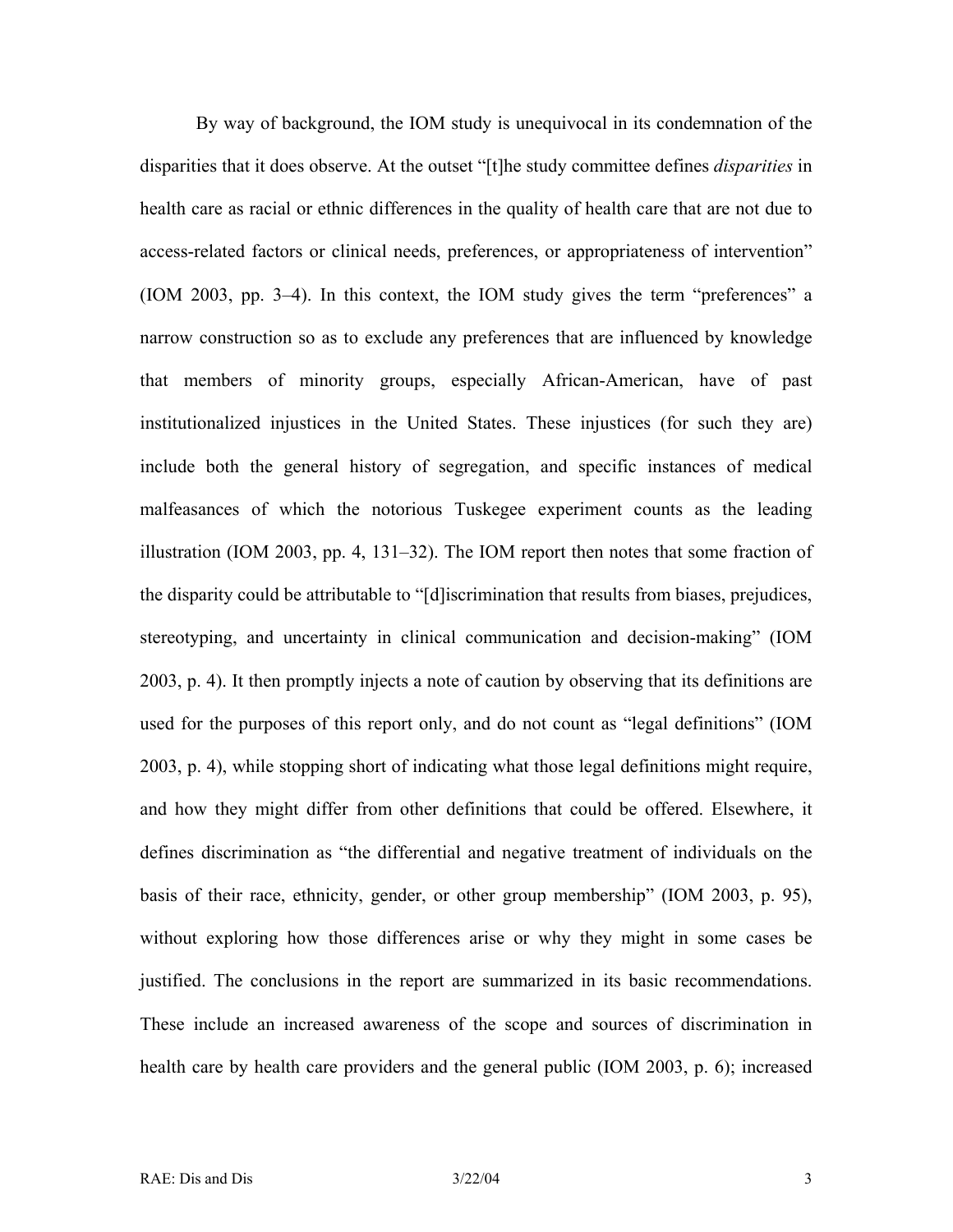By way of background, the IOM study is unequivocal in its condemnation of the disparities that it does observe. At the outset "[t]he study committee defines *disparities* in health care as racial or ethnic differences in the quality of health care that are not due to access-related factors or clinical needs, preferences, or appropriateness of intervention" (IOM 2003, pp. 3–4). In this context, the IOM study gives the term "preferences" a narrow construction so as to exclude any preferences that are influenced by knowledge that members of minority groups, especially African-American, have of past institutionalized injustices in the United States. These injustices (for such they are) include both the general history of segregation, and specific instances of medical malfeasances of which the notorious Tuskegee experiment counts as the leading illustration (IOM 2003, pp. 4, 131–32). The IOM report then notes that some fraction of the disparity could be attributable to "[d]iscrimination that results from biases, prejudices, stereotyping, and uncertainty in clinical communication and decision-making" (IOM 2003, p. 4). It then promptly injects a note of caution by observing that its definitions are used for the purposes of this report only, and do not count as "legal definitions" (IOM 2003, p. 4), while stopping short of indicating what those legal definitions might require, and how they might differ from other definitions that could be offered. Elsewhere, it defines discrimination as "the differential and negative treatment of individuals on the basis of their race, ethnicity, gender, or other group membership" (IOM 2003, p. 95), without exploring how those differences arise or why they might in some cases be justified. The conclusions in the report are summarized in its basic recommendations. These include an increased awareness of the scope and sources of discrimination in health care by health care providers and the general public (IOM 2003, p. 6); increased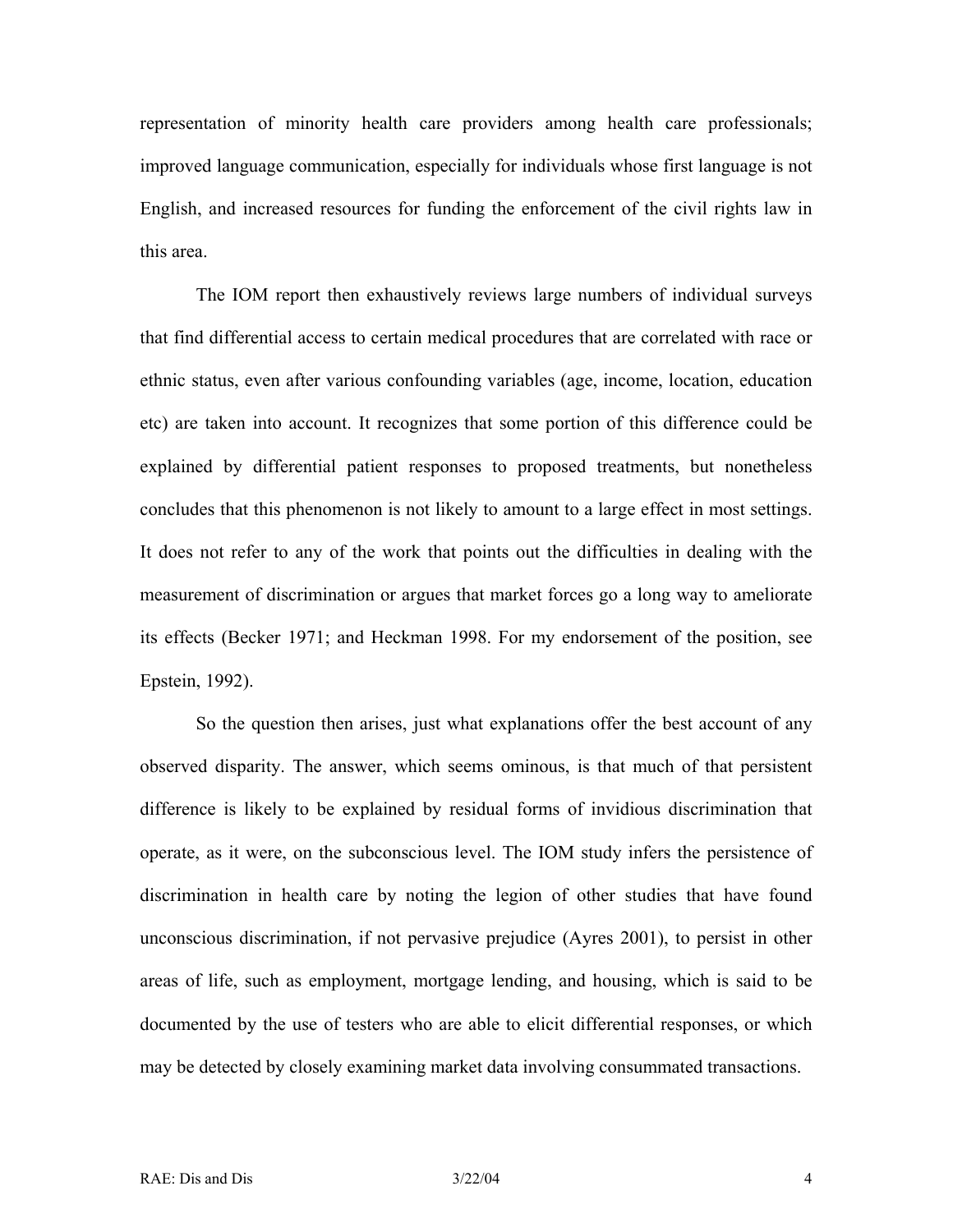representation of minority health care providers among health care professionals; improved language communication, especially for individuals whose first language is not English, and increased resources for funding the enforcement of the civil rights law in this area.

The IOM report then exhaustively reviews large numbers of individual surveys that find differential access to certain medical procedures that are correlated with race or ethnic status, even after various confounding variables (age, income, location, education etc) are taken into account. It recognizes that some portion of this difference could be explained by differential patient responses to proposed treatments, but nonetheless concludes that this phenomenon is not likely to amount to a large effect in most settings. It does not refer to any of the work that points out the difficulties in dealing with the measurement of discrimination or argues that market forces go a long way to ameliorate its effects (Becker 1971; and Heckman 1998. For my endorsement of the position, see Epstein, 1992).

So the question then arises, just what explanations offer the best account of any observed disparity. The answer, which seems ominous, is that much of that persistent difference is likely to be explained by residual forms of invidious discrimination that operate, as it were, on the subconscious level. The IOM study infers the persistence of discrimination in health care by noting the legion of other studies that have found unconscious discrimination, if not pervasive prejudice (Ayres 2001), to persist in other areas of life, such as employment, mortgage lending, and housing, which is said to be documented by the use of testers who are able to elicit differential responses, or which may be detected by closely examining market data involving consummated transactions.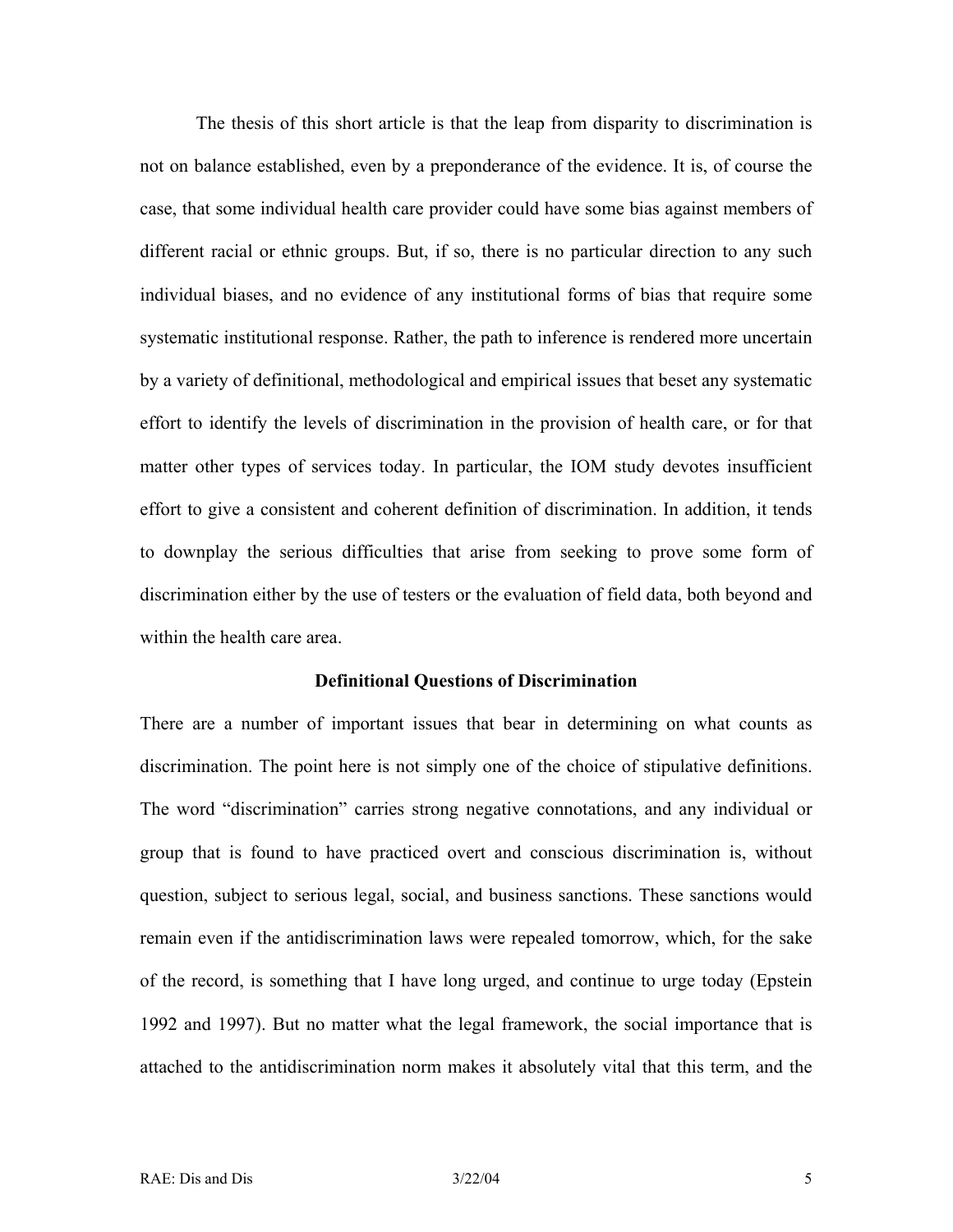The thesis of this short article is that the leap from disparity to discrimination is not on balance established, even by a preponderance of the evidence. It is, of course the case, that some individual health care provider could have some bias against members of different racial or ethnic groups. But, if so, there is no particular direction to any such individual biases, and no evidence of any institutional forms of bias that require some systematic institutional response. Rather, the path to inference is rendered more uncertain by a variety of definitional, methodological and empirical issues that beset any systematic effort to identify the levels of discrimination in the provision of health care, or for that matter other types of services today. In particular, the IOM study devotes insufficient effort to give a consistent and coherent definition of discrimination. In addition, it tends to downplay the serious difficulties that arise from seeking to prove some form of discrimination either by the use of testers or the evaluation of field data, both beyond and within the health care area.

#### **Definitional Questions of Discrimination**

There are a number of important issues that bear in determining on what counts as discrimination. The point here is not simply one of the choice of stipulative definitions. The word "discrimination" carries strong negative connotations, and any individual or group that is found to have practiced overt and conscious discrimination is, without question, subject to serious legal, social, and business sanctions. These sanctions would remain even if the antidiscrimination laws were repealed tomorrow, which, for the sake of the record, is something that I have long urged, and continue to urge today (Epstein 1992 and 1997). But no matter what the legal framework, the social importance that is attached to the antidiscrimination norm makes it absolutely vital that this term, and the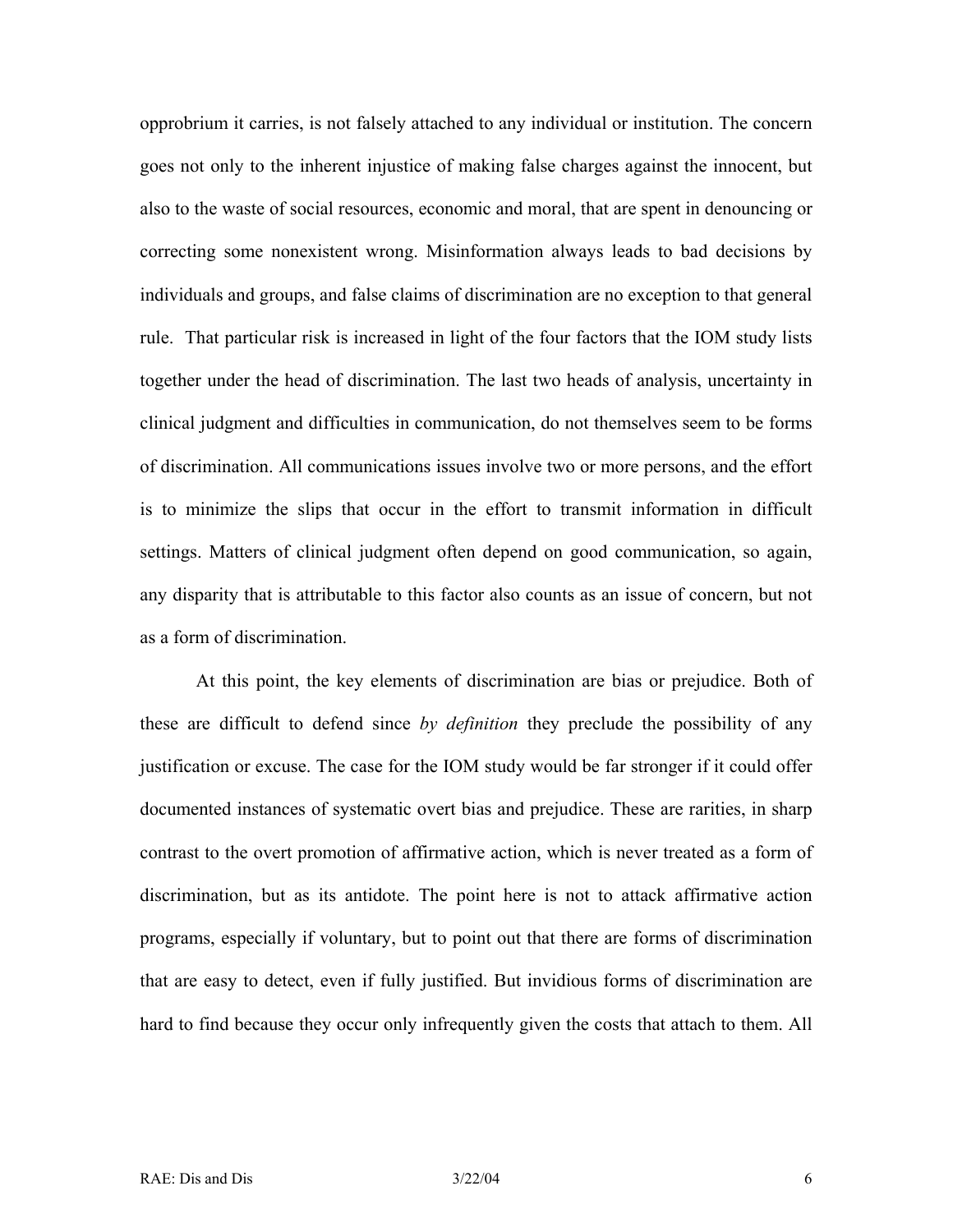opprobrium it carries, is not falsely attached to any individual or institution. The concern goes not only to the inherent injustice of making false charges against the innocent, but also to the waste of social resources, economic and moral, that are spent in denouncing or correcting some nonexistent wrong. Misinformation always leads to bad decisions by individuals and groups, and false claims of discrimination are no exception to that general rule. That particular risk is increased in light of the four factors that the IOM study lists together under the head of discrimination. The last two heads of analysis, uncertainty in clinical judgment and difficulties in communication, do not themselves seem to be forms of discrimination. All communications issues involve two or more persons, and the effort is to minimize the slips that occur in the effort to transmit information in difficult settings. Matters of clinical judgment often depend on good communication, so again, any disparity that is attributable to this factor also counts as an issue of concern, but not as a form of discrimination.

At this point, the key elements of discrimination are bias or prejudice. Both of these are difficult to defend since *by definition* they preclude the possibility of any justification or excuse. The case for the IOM study would be far stronger if it could offer documented instances of systematic overt bias and prejudice. These are rarities, in sharp contrast to the overt promotion of affirmative action, which is never treated as a form of discrimination, but as its antidote. The point here is not to attack affirmative action programs, especially if voluntary, but to point out that there are forms of discrimination that are easy to detect, even if fully justified. But invidious forms of discrimination are hard to find because they occur only infrequently given the costs that attach to them. All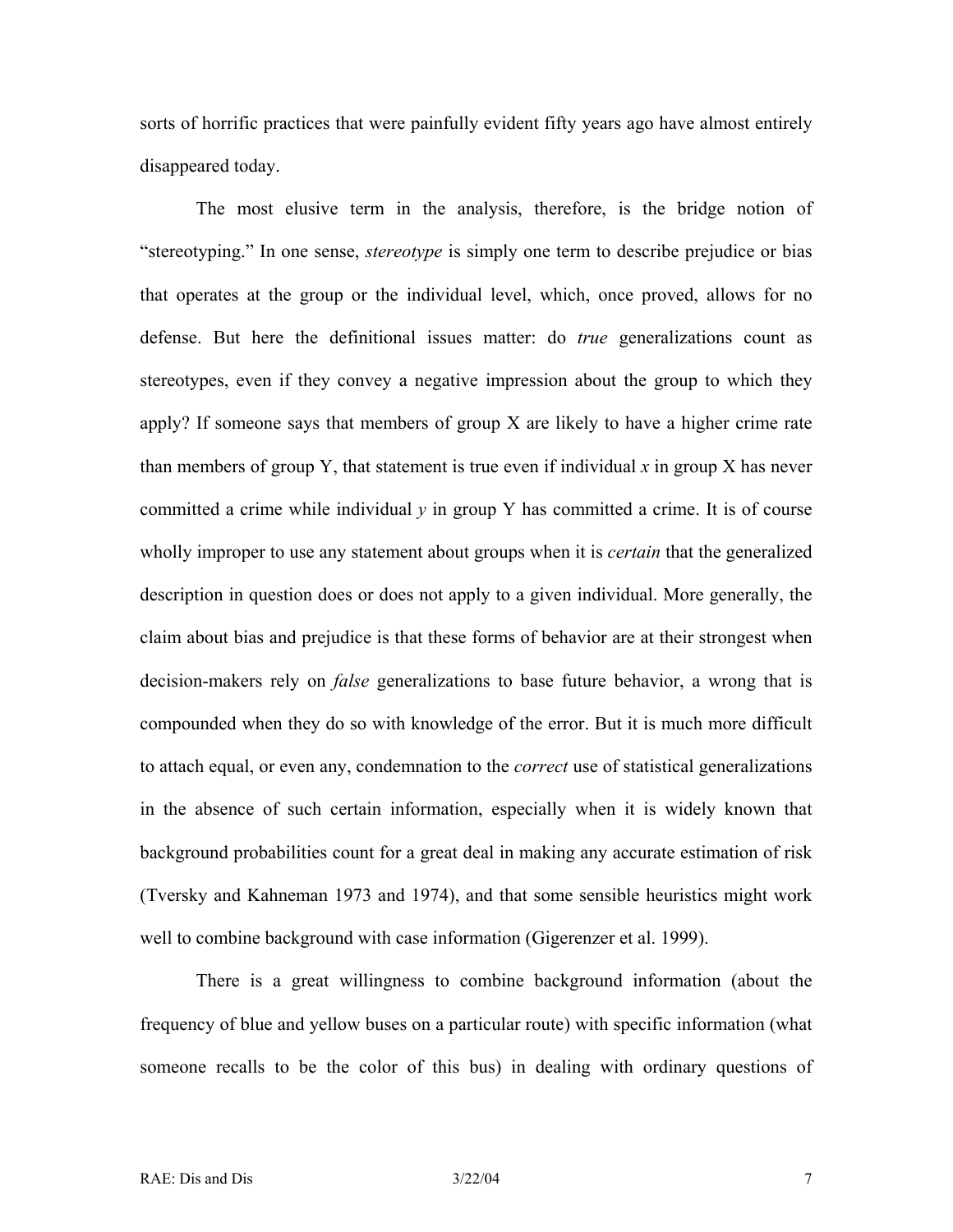sorts of horrific practices that were painfully evident fifty years ago have almost entirely disappeared today.

The most elusive term in the analysis, therefore, is the bridge notion of "stereotyping." In one sense, *stereotype* is simply one term to describe prejudice or bias that operates at the group or the individual level, which, once proved, allows for no defense. But here the definitional issues matter: do *true* generalizations count as stereotypes, even if they convey a negative impression about the group to which they apply? If someone says that members of group X are likely to have a higher crime rate than members of group Y, that statement is true even if individual *x* in group X has never committed a crime while individual  $y$  in group Y has committed a crime. It is of course wholly improper to use any statement about groups when it is *certain* that the generalized description in question does or does not apply to a given individual. More generally, the claim about bias and prejudice is that these forms of behavior are at their strongest when decision-makers rely on *false* generalizations to base future behavior, a wrong that is compounded when they do so with knowledge of the error. But it is much more difficult to attach equal, or even any, condemnation to the *correct* use of statistical generalizations in the absence of such certain information, especially when it is widely known that background probabilities count for a great deal in making any accurate estimation of risk (Tversky and Kahneman 1973 and 1974), and that some sensible heuristics might work well to combine background with case information (Gigerenzer et al. 1999).

There is a great willingness to combine background information (about the frequency of blue and yellow buses on a particular route) with specific information (what someone recalls to be the color of this bus) in dealing with ordinary questions of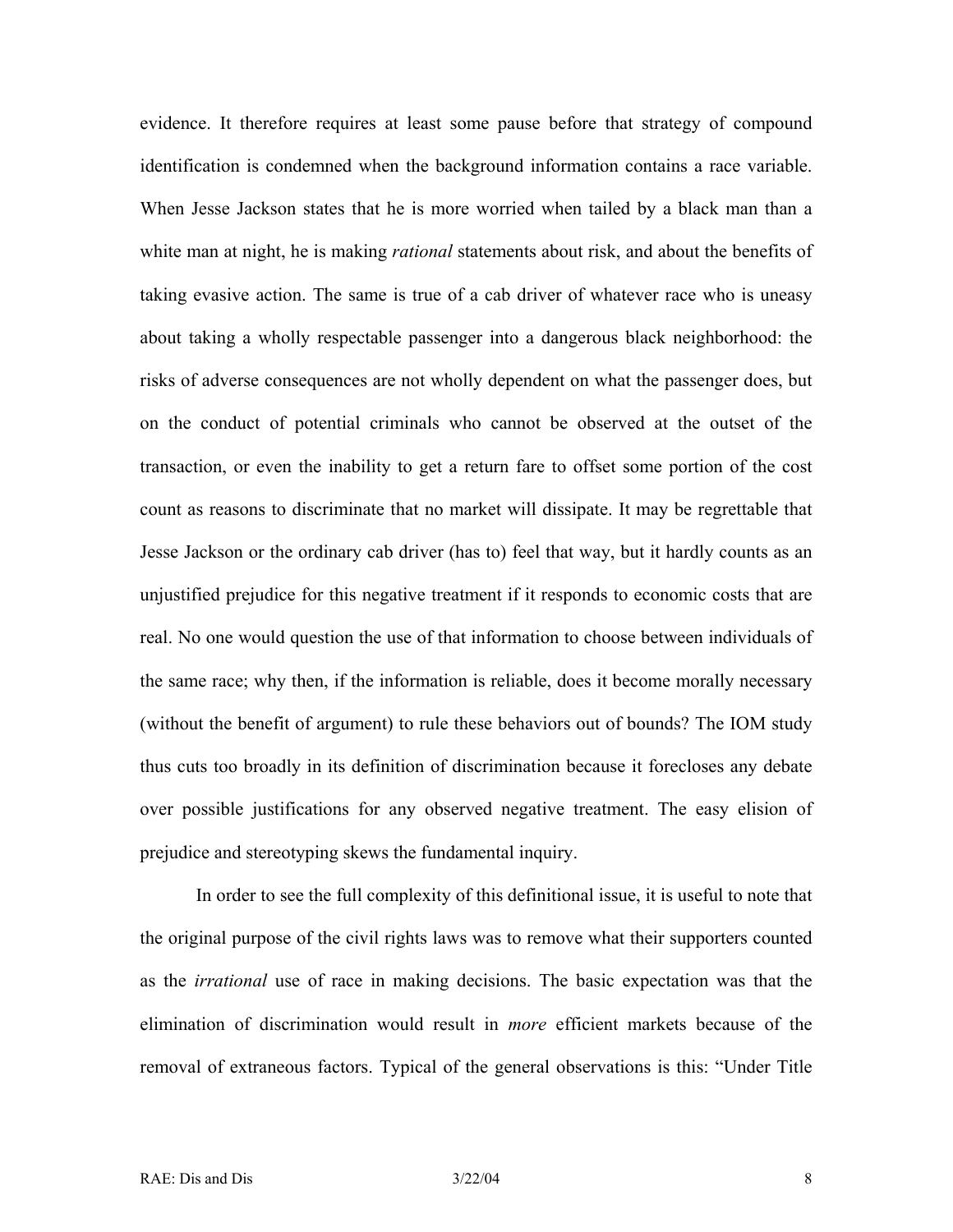evidence. It therefore requires at least some pause before that strategy of compound identification is condemned when the background information contains a race variable. When Jesse Jackson states that he is more worried when tailed by a black man than a white man at night, he is making *rational* statements about risk, and about the benefits of taking evasive action. The same is true of a cab driver of whatever race who is uneasy about taking a wholly respectable passenger into a dangerous black neighborhood: the risks of adverse consequences are not wholly dependent on what the passenger does, but on the conduct of potential criminals who cannot be observed at the outset of the transaction, or even the inability to get a return fare to offset some portion of the cost count as reasons to discriminate that no market will dissipate. It may be regrettable that Jesse Jackson or the ordinary cab driver (has to) feel that way, but it hardly counts as an unjustified prejudice for this negative treatment if it responds to economic costs that are real. No one would question the use of that information to choose between individuals of the same race; why then, if the information is reliable, does it become morally necessary (without the benefit of argument) to rule these behaviors out of bounds? The IOM study thus cuts too broadly in its definition of discrimination because it forecloses any debate over possible justifications for any observed negative treatment. The easy elision of prejudice and stereotyping skews the fundamental inquiry.

In order to see the full complexity of this definitional issue, it is useful to note that the original purpose of the civil rights laws was to remove what their supporters counted as the *irrational* use of race in making decisions. The basic expectation was that the elimination of discrimination would result in *more* efficient markets because of the removal of extraneous factors. Typical of the general observations is this: "Under Title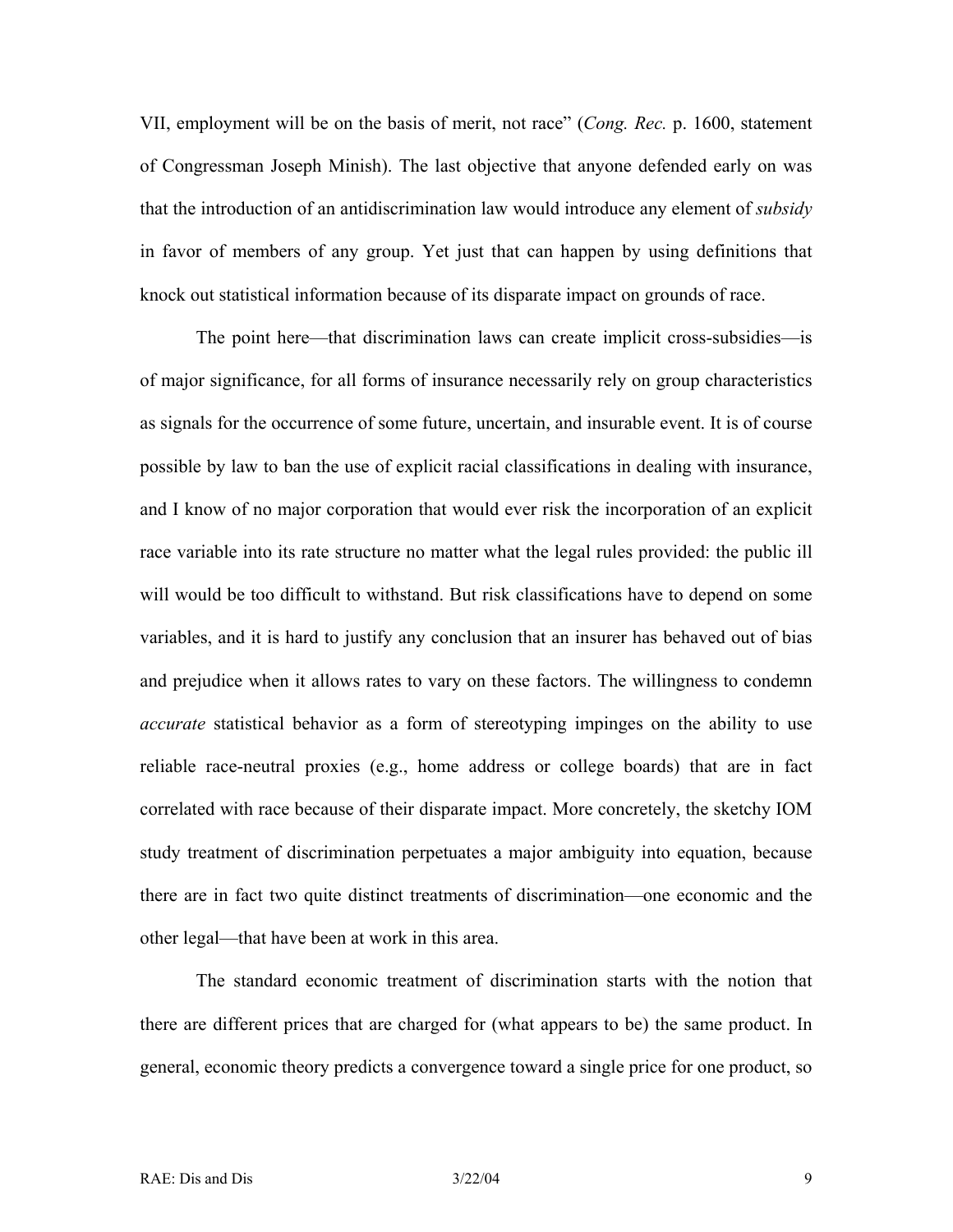VII, employment will be on the basis of merit, not race" (*Cong. Rec.* p. 1600, statement of Congressman Joseph Minish). The last objective that anyone defended early on was that the introduction of an antidiscrimination law would introduce any element of *subsidy* in favor of members of any group. Yet just that can happen by using definitions that knock out statistical information because of its disparate impact on grounds of race.

The point here—that discrimination laws can create implicit cross-subsidies—is of major significance, for all forms of insurance necessarily rely on group characteristics as signals for the occurrence of some future, uncertain, and insurable event. It is of course possible by law to ban the use of explicit racial classifications in dealing with insurance, and I know of no major corporation that would ever risk the incorporation of an explicit race variable into its rate structure no matter what the legal rules provided: the public ill will would be too difficult to withstand. But risk classifications have to depend on some variables, and it is hard to justify any conclusion that an insurer has behaved out of bias and prejudice when it allows rates to vary on these factors. The willingness to condemn *accurate* statistical behavior as a form of stereotyping impinges on the ability to use reliable race-neutral proxies (e.g., home address or college boards) that are in fact correlated with race because of their disparate impact. More concretely, the sketchy IOM study treatment of discrimination perpetuates a major ambiguity into equation, because there are in fact two quite distinct treatments of discrimination—one economic and the other legal—that have been at work in this area.

The standard economic treatment of discrimination starts with the notion that there are different prices that are charged for (what appears to be) the same product. In general, economic theory predicts a convergence toward a single price for one product, so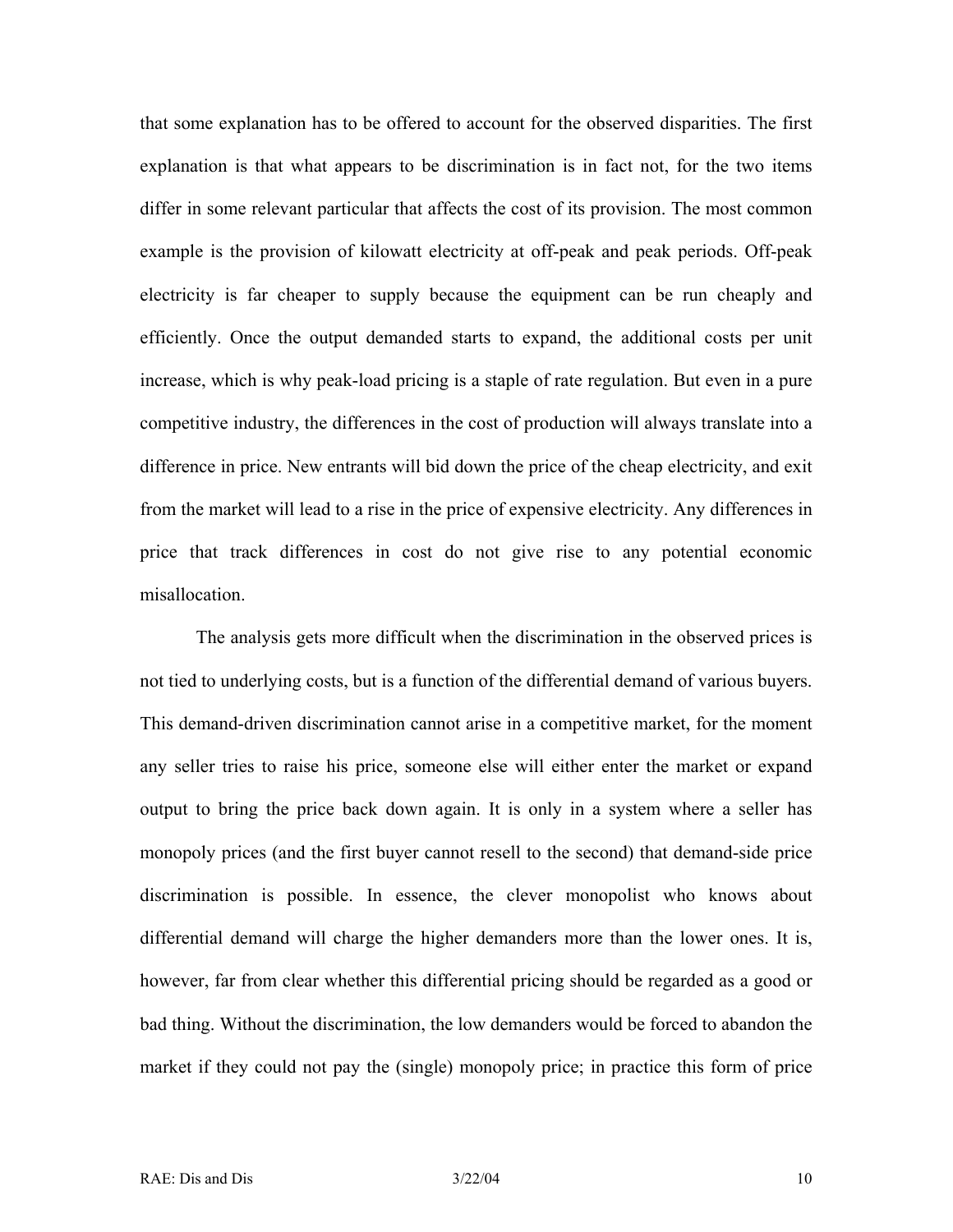that some explanation has to be offered to account for the observed disparities. The first explanation is that what appears to be discrimination is in fact not, for the two items differ in some relevant particular that affects the cost of its provision. The most common example is the provision of kilowatt electricity at off-peak and peak periods. Off-peak electricity is far cheaper to supply because the equipment can be run cheaply and efficiently. Once the output demanded starts to expand, the additional costs per unit increase, which is why peak-load pricing is a staple of rate regulation. But even in a pure competitive industry, the differences in the cost of production will always translate into a difference in price. New entrants will bid down the price of the cheap electricity, and exit from the market will lead to a rise in the price of expensive electricity. Any differences in price that track differences in cost do not give rise to any potential economic misallocation.

The analysis gets more difficult when the discrimination in the observed prices is not tied to underlying costs, but is a function of the differential demand of various buyers. This demand-driven discrimination cannot arise in a competitive market, for the moment any seller tries to raise his price, someone else will either enter the market or expand output to bring the price back down again. It is only in a system where a seller has monopoly prices (and the first buyer cannot resell to the second) that demand-side price discrimination is possible. In essence, the clever monopolist who knows about differential demand will charge the higher demanders more than the lower ones. It is, however, far from clear whether this differential pricing should be regarded as a good or bad thing. Without the discrimination, the low demanders would be forced to abandon the market if they could not pay the (single) monopoly price; in practice this form of price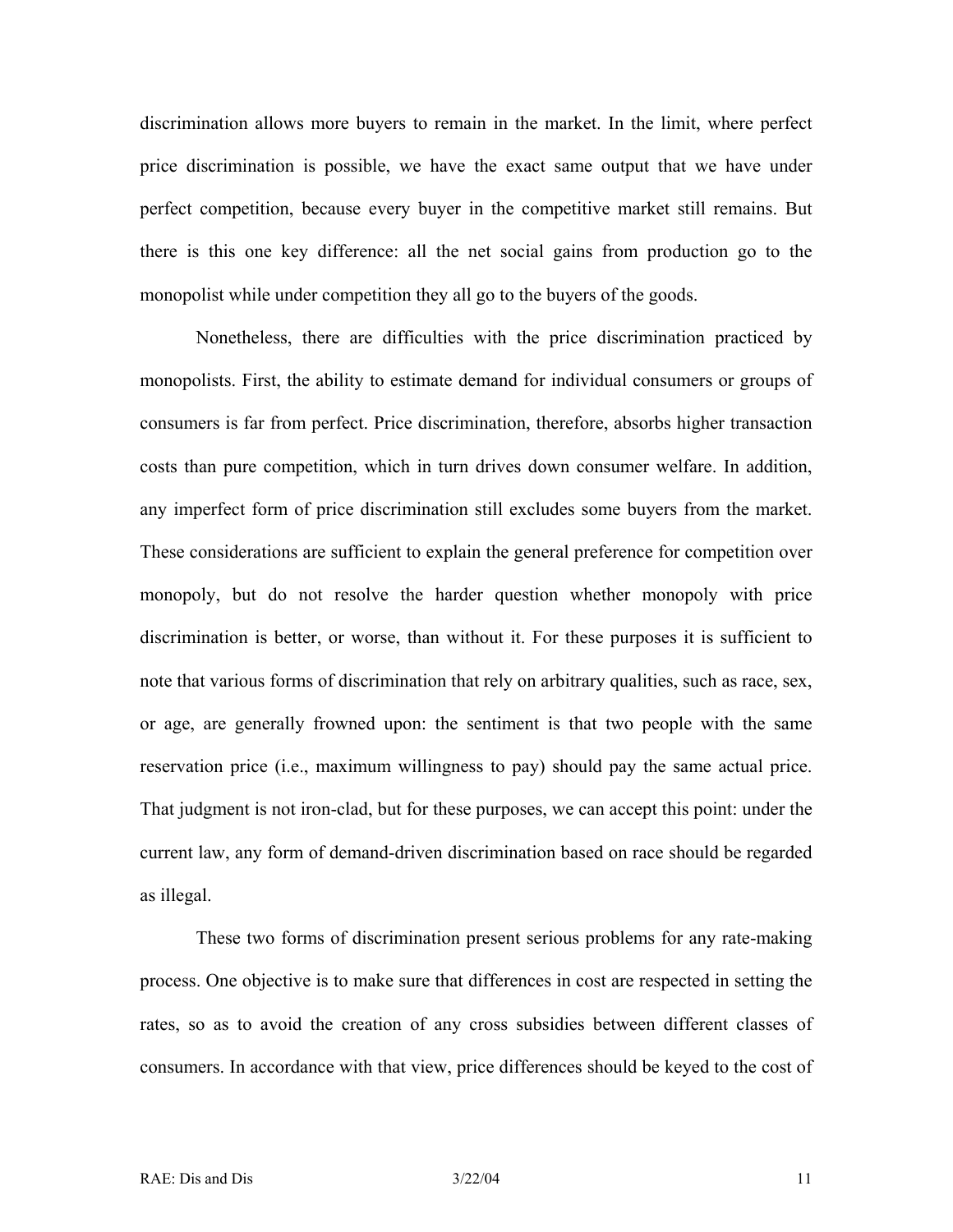discrimination allows more buyers to remain in the market. In the limit, where perfect price discrimination is possible, we have the exact same output that we have under perfect competition, because every buyer in the competitive market still remains. But there is this one key difference: all the net social gains from production go to the monopolist while under competition they all go to the buyers of the goods.

Nonetheless, there are difficulties with the price discrimination practiced by monopolists. First, the ability to estimate demand for individual consumers or groups of consumers is far from perfect. Price discrimination, therefore, absorbs higher transaction costs than pure competition, which in turn drives down consumer welfare. In addition, any imperfect form of price discrimination still excludes some buyers from the market. These considerations are sufficient to explain the general preference for competition over monopoly, but do not resolve the harder question whether monopoly with price discrimination is better, or worse, than without it. For these purposes it is sufficient to note that various forms of discrimination that rely on arbitrary qualities, such as race, sex, or age, are generally frowned upon: the sentiment is that two people with the same reservation price (i.e., maximum willingness to pay) should pay the same actual price. That judgment is not iron-clad, but for these purposes, we can accept this point: under the current law, any form of demand-driven discrimination based on race should be regarded as illegal.

These two forms of discrimination present serious problems for any rate-making process. One objective is to make sure that differences in cost are respected in setting the rates, so as to avoid the creation of any cross subsidies between different classes of consumers. In accordance with that view, price differences should be keyed to the cost of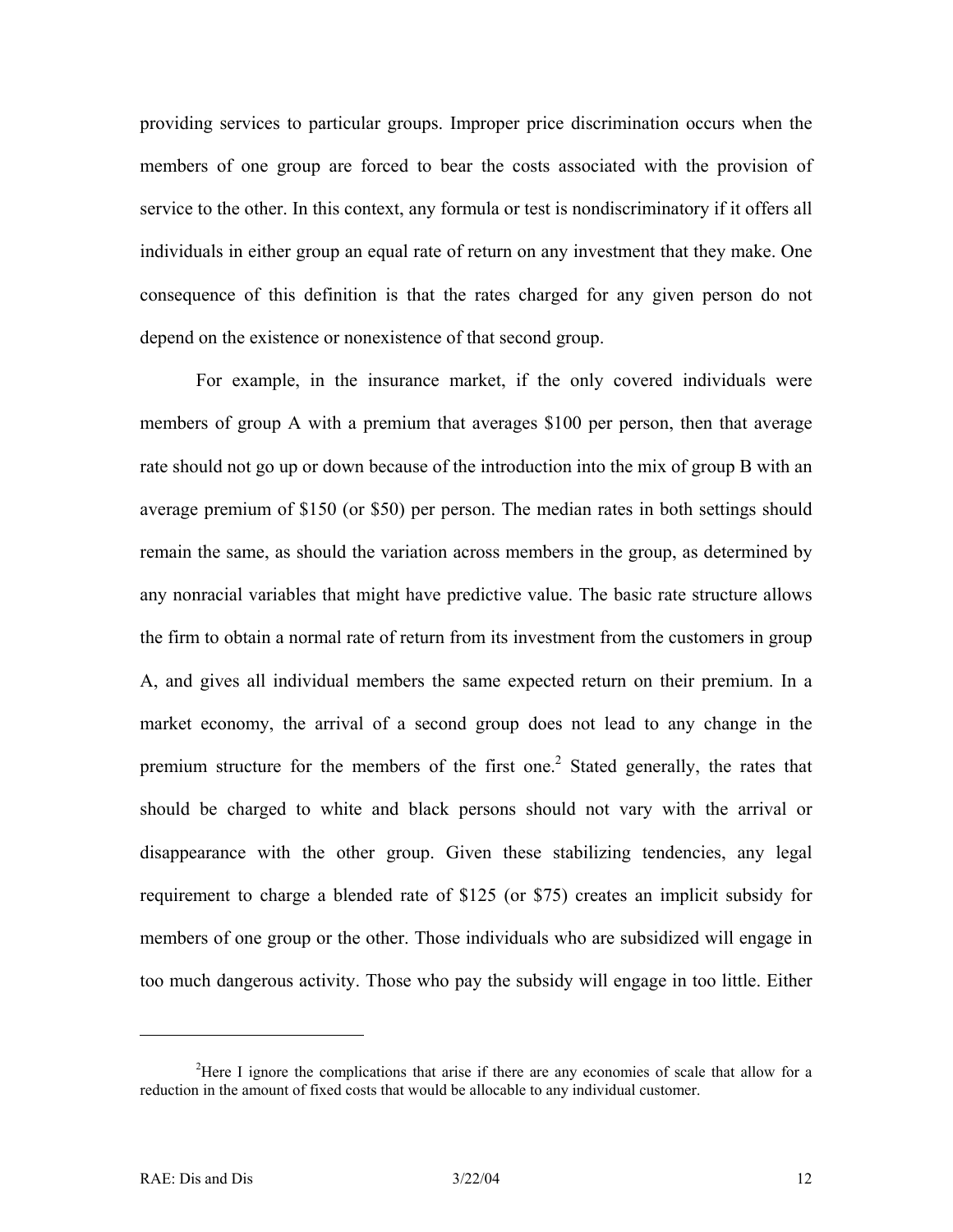providing services to particular groups. Improper price discrimination occurs when the members of one group are forced to bear the costs associated with the provision of service to the other. In this context, any formula or test is nondiscriminatory if it offers all individuals in either group an equal rate of return on any investment that they make. One consequence of this definition is that the rates charged for any given person do not depend on the existence or nonexistence of that second group.

For example, in the insurance market, if the only covered individuals were members of group A with a premium that averages \$100 per person, then that average rate should not go up or down because of the introduction into the mix of group B with an average premium of \$150 (or \$50) per person. The median rates in both settings should remain the same, as should the variation across members in the group, as determined by any nonracial variables that might have predictive value. The basic rate structure allows the firm to obtain a normal rate of return from its investment from the customers in group A, and gives all individual members the same expected return on their premium. In a market economy, the arrival of a second group does not lead to any change in the premium structure for the members of the first one.<sup>[2](#page-13-0)</sup> Stated generally, the rates that should be charged to white and black persons should not vary with the arrival or disappearance with the other group. Given these stabilizing tendencies, any legal requirement to charge a blended rate of \$125 (or \$75) creates an implicit subsidy for members of one group or the other. Those individuals who are subsidized will engage in too much dangerous activity. Those who pay the subsidy will engage in too little. Either

 $\overline{a}$ 

<span id="page-13-0"></span><sup>&</sup>lt;sup>2</sup>Here I ignore the complications that arise if there are any economies of scale that allow for a reduction in the amount of fixed costs that would be allocable to any individual customer.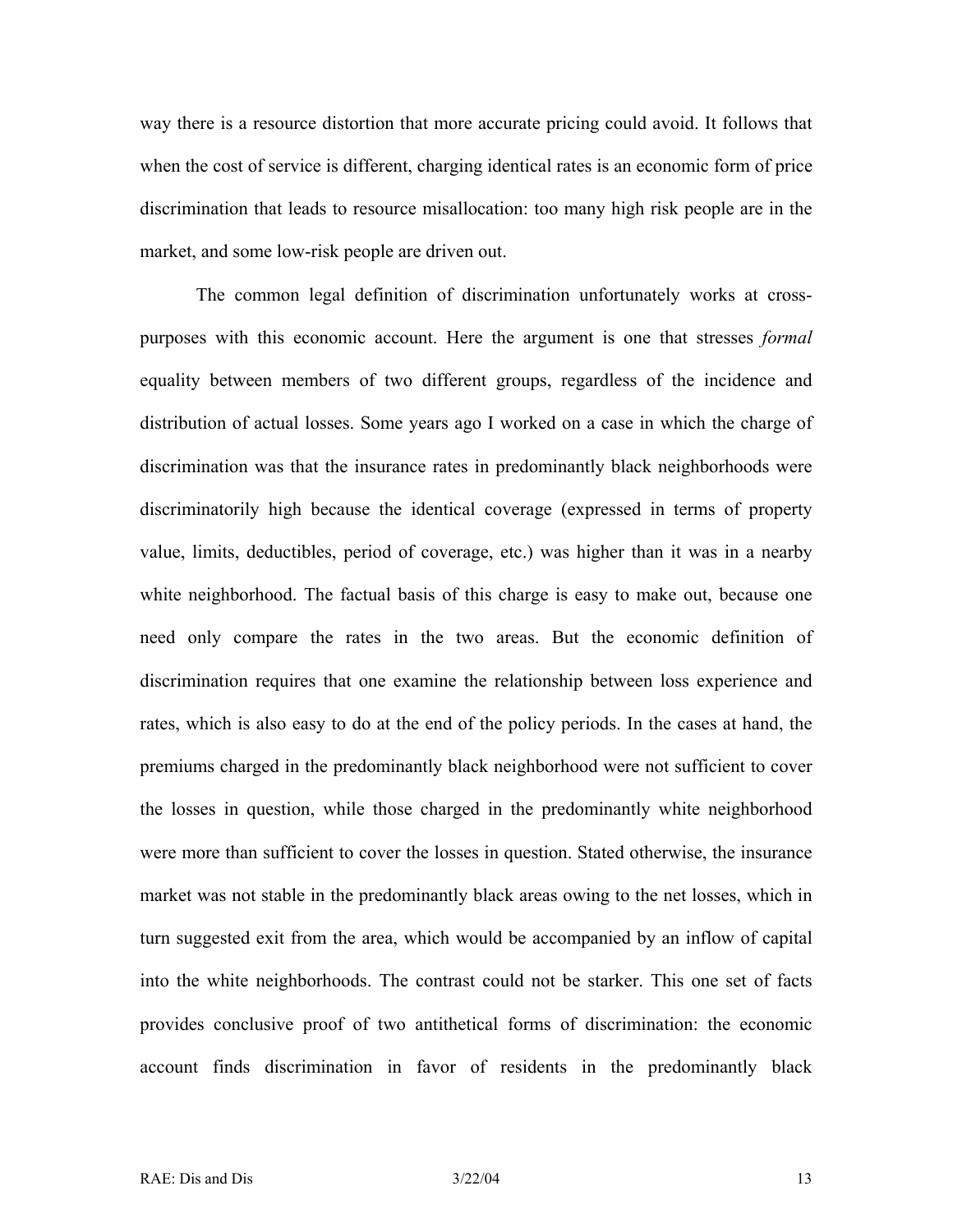way there is a resource distortion that more accurate pricing could avoid. It follows that when the cost of service is different, charging identical rates is an economic form of price discrimination that leads to resource misallocation: too many high risk people are in the market, and some low-risk people are driven out.

The common legal definition of discrimination unfortunately works at crosspurposes with this economic account. Here the argument is one that stresses *formal* equality between members of two different groups, regardless of the incidence and distribution of actual losses. Some years ago I worked on a case in which the charge of discrimination was that the insurance rates in predominantly black neighborhoods were discriminatorily high because the identical coverage (expressed in terms of property value, limits, deductibles, period of coverage, etc.) was higher than it was in a nearby white neighborhood. The factual basis of this charge is easy to make out, because one need only compare the rates in the two areas. But the economic definition of discrimination requires that one examine the relationship between loss experience and rates, which is also easy to do at the end of the policy periods. In the cases at hand, the premiums charged in the predominantly black neighborhood were not sufficient to cover the losses in question, while those charged in the predominantly white neighborhood were more than sufficient to cover the losses in question. Stated otherwise, the insurance market was not stable in the predominantly black areas owing to the net losses, which in turn suggested exit from the area, which would be accompanied by an inflow of capital into the white neighborhoods. The contrast could not be starker. This one set of facts provides conclusive proof of two antithetical forms of discrimination: the economic account finds discrimination in favor of residents in the predominantly black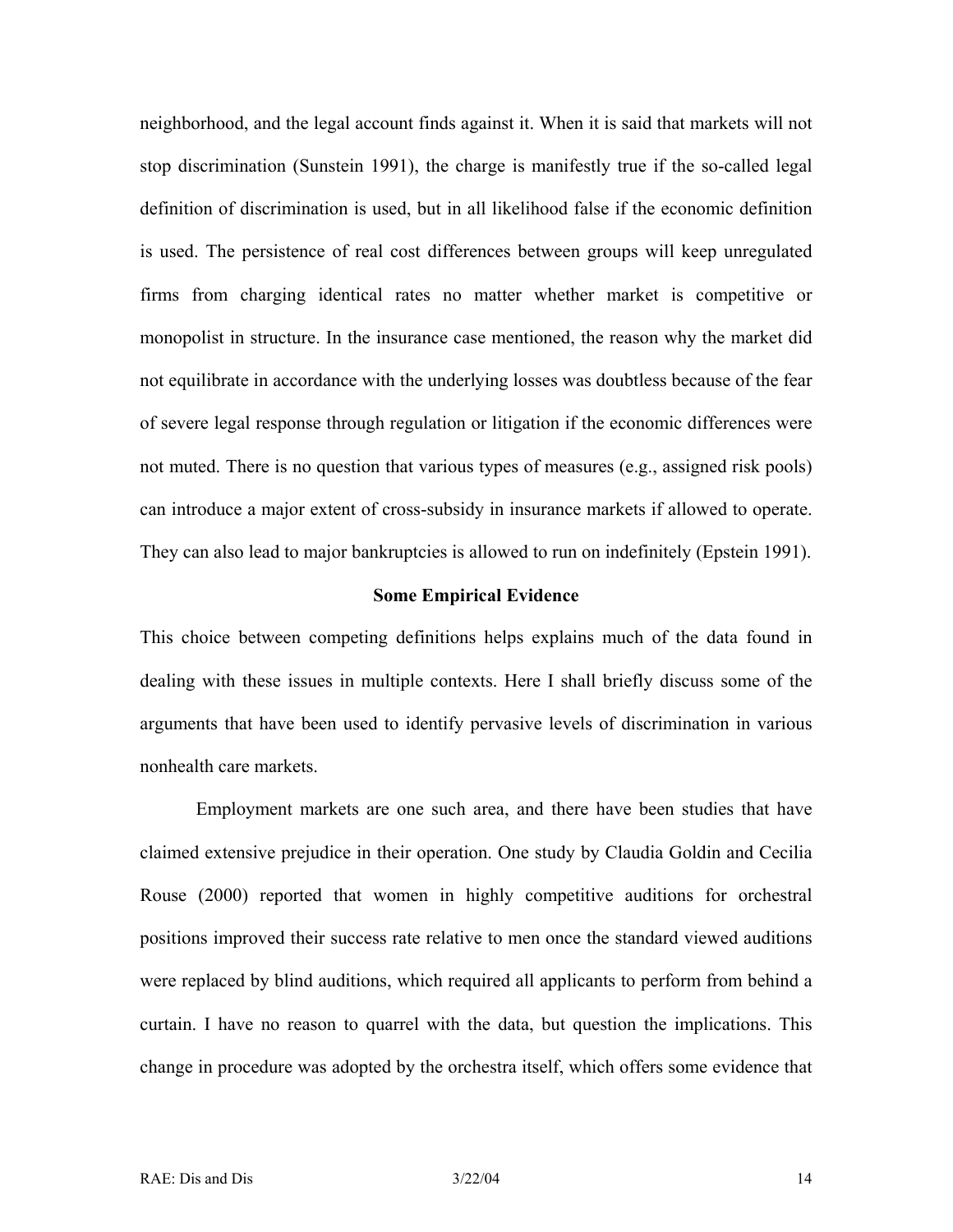neighborhood, and the legal account finds against it. When it is said that markets will not stop discrimination (Sunstein 1991), the charge is manifestly true if the so-called legal definition of discrimination is used, but in all likelihood false if the economic definition is used. The persistence of real cost differences between groups will keep unregulated firms from charging identical rates no matter whether market is competitive or monopolist in structure. In the insurance case mentioned, the reason why the market did not equilibrate in accordance with the underlying losses was doubtless because of the fear of severe legal response through regulation or litigation if the economic differences were not muted. There is no question that various types of measures (e.g., assigned risk pools) can introduce a major extent of cross-subsidy in insurance markets if allowed to operate. They can also lead to major bankruptcies is allowed to run on indefinitely (Epstein 1991).

#### **Some Empirical Evidence**

This choice between competing definitions helps explains much of the data found in dealing with these issues in multiple contexts. Here I shall briefly discuss some of the arguments that have been used to identify pervasive levels of discrimination in various nonhealth care markets.

Employment markets are one such area, and there have been studies that have claimed extensive prejudice in their operation. One study by Claudia Goldin and Cecilia Rouse (2000) reported that women in highly competitive auditions for orchestral positions improved their success rate relative to men once the standard viewed auditions were replaced by blind auditions, which required all applicants to perform from behind a curtain. I have no reason to quarrel with the data, but question the implications. This change in procedure was adopted by the orchestra itself, which offers some evidence that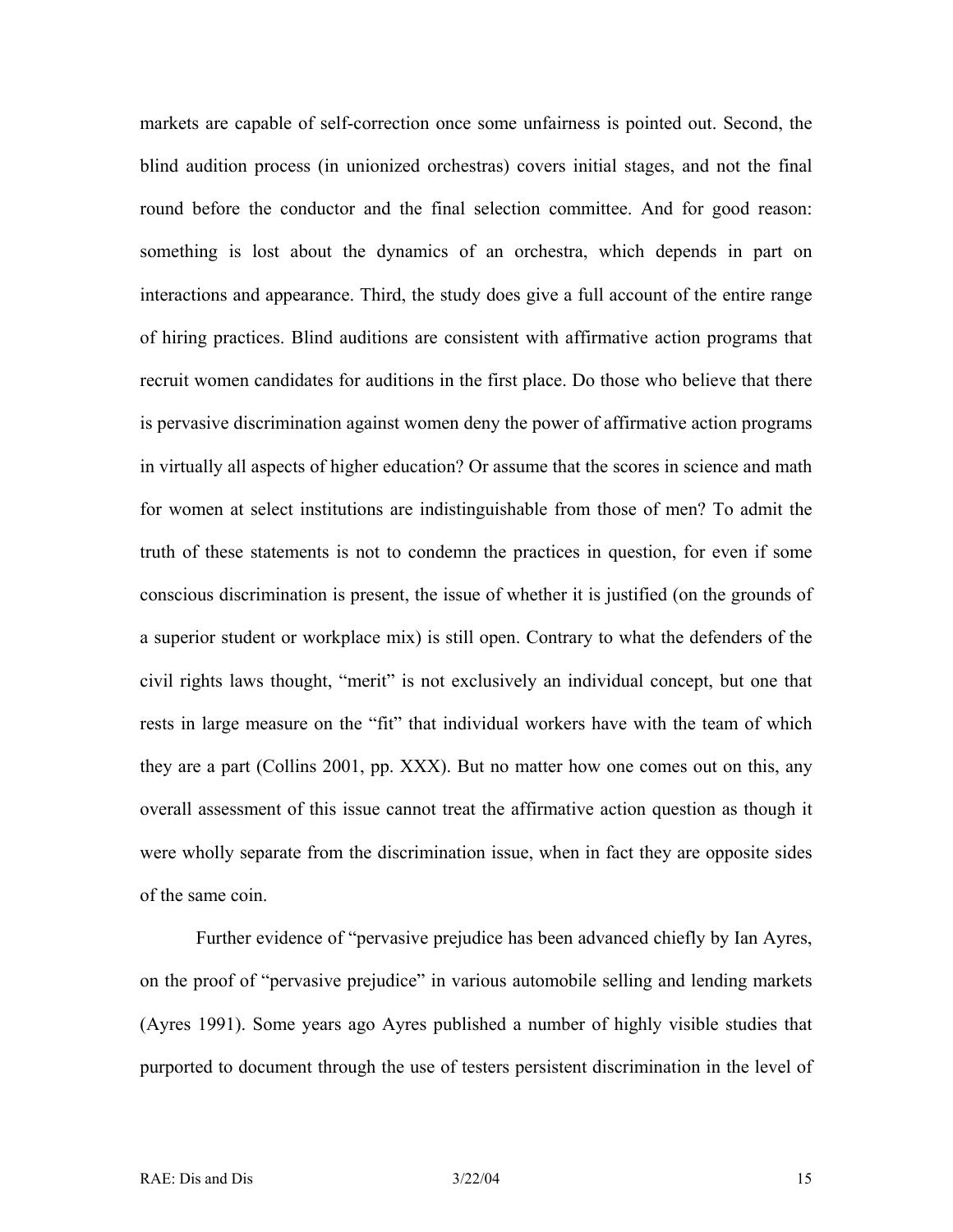markets are capable of self-correction once some unfairness is pointed out. Second, the blind audition process (in unionized orchestras) covers initial stages, and not the final round before the conductor and the final selection committee. And for good reason: something is lost about the dynamics of an orchestra, which depends in part on interactions and appearance. Third, the study does give a full account of the entire range of hiring practices. Blind auditions are consistent with affirmative action programs that recruit women candidates for auditions in the first place. Do those who believe that there is pervasive discrimination against women deny the power of affirmative action programs in virtually all aspects of higher education? Or assume that the scores in science and math for women at select institutions are indistinguishable from those of men? To admit the truth of these statements is not to condemn the practices in question, for even if some conscious discrimination is present, the issue of whether it is justified (on the grounds of a superior student or workplace mix) is still open. Contrary to what the defenders of the civil rights laws thought, "merit" is not exclusively an individual concept, but one that rests in large measure on the "fit" that individual workers have with the team of which they are a part (Collins 2001, pp. XXX). But no matter how one comes out on this, any overall assessment of this issue cannot treat the affirmative action question as though it were wholly separate from the discrimination issue, when in fact they are opposite sides of the same coin.

Further evidence of "pervasive prejudice has been advanced chiefly by Ian Ayres, on the proof of "pervasive prejudice" in various automobile selling and lending markets (Ayres 1991). Some years ago Ayres published a number of highly visible studies that purported to document through the use of testers persistent discrimination in the level of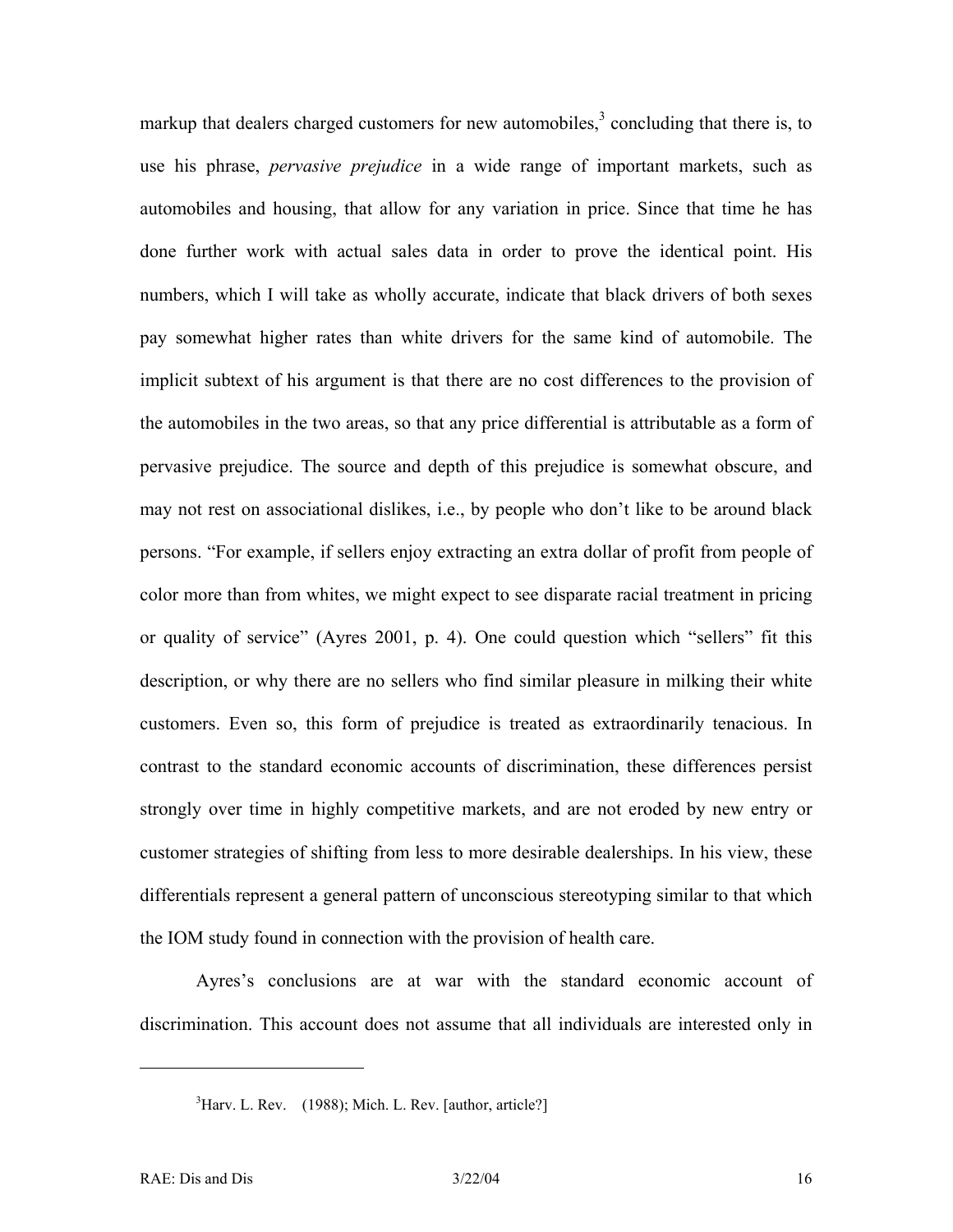markupthat dealers charged customers for new automobiles, $3$  concluding that there is, to use his phrase, *pervasive prejudice* in a wide range of important markets, such as automobiles and housing, that allow for any variation in price. Since that time he has done further work with actual sales data in order to prove the identical point. His numbers, which I will take as wholly accurate, indicate that black drivers of both sexes pay somewhat higher rates than white drivers for the same kind of automobile. The implicit subtext of his argument is that there are no cost differences to the provision of the automobiles in the two areas, so that any price differential is attributable as a form of pervasive prejudice. The source and depth of this prejudice is somewhat obscure, and may not rest on associational dislikes, i.e., by people who don't like to be around black persons. "For example, if sellers enjoy extracting an extra dollar of profit from people of color more than from whites, we might expect to see disparate racial treatment in pricing or quality of service" (Ayres 2001, p. 4). One could question which "sellers" fit this description, or why there are no sellers who find similar pleasure in milking their white customers. Even so, this form of prejudice is treated as extraordinarily tenacious. In contrast to the standard economic accounts of discrimination, these differences persist strongly over time in highly competitive markets, and are not eroded by new entry or customer strategies of shifting from less to more desirable dealerships. In his view, these differentials represent a general pattern of unconscious stereotyping similar to that which the IOM study found in connection with the provision of health care.

Ayres's conclusions are at war with the standard economic account of discrimination. This account does not assume that all individuals are interested only in

 $\overline{a}$ 

<span id="page-17-0"></span> ${}^{3}$ Harv. L. Rev. (1988); Mich. L. Rev. [author, article?]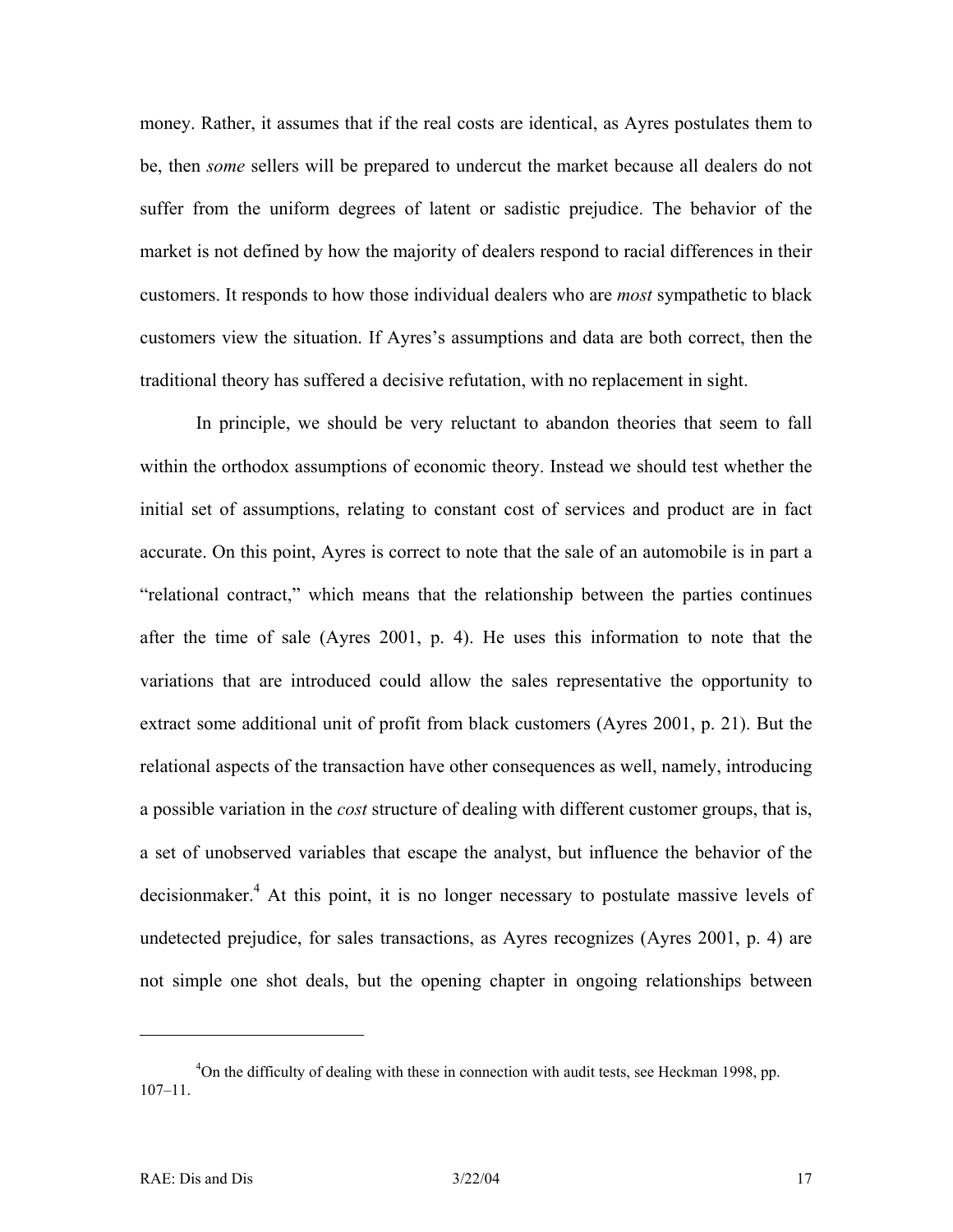money. Rather, it assumes that if the real costs are identical, as Ayres postulates them to be, then *some* sellers will be prepared to undercut the market because all dealers do not suffer from the uniform degrees of latent or sadistic prejudice. The behavior of the market is not defined by how the majority of dealers respond to racial differences in their customers. It responds to how those individual dealers who are *most* sympathetic to black customers view the situation. If Ayres's assumptions and data are both correct, then the traditional theory has suffered a decisive refutation, with no replacement in sight.

In principle, we should be very reluctant to abandon theories that seem to fall within the orthodox assumptions of economic theory. Instead we should test whether the initial set of assumptions, relating to constant cost of services and product are in fact accurate. On this point, Ayres is correct to note that the sale of an automobile is in part a "relational contract," which means that the relationship between the parties continues after the time of sale (Ayres 2001, p. 4). He uses this information to note that the variations that are introduced could allow the sales representative the opportunity to extract some additional unit of profit from black customers (Ayres 2001, p. 21). But the relational aspects of the transaction have other consequences as well, namely, introducing a possible variation in the *cost* structure of dealing with different customer groups, that is, a set of unobserved variables that escape the analyst, but influence the behavior of the decisionmaker.<sup>4</sup> At this point, it is no longer necessary to postulate massive levels of undetected prejudice, for sales transactions, as Ayres recognizes (Ayres 2001, p. 4) are not simple one shot deals, but the opening chapter in ongoing relationships between

 $\overline{a}$ 

<span id="page-18-0"></span><sup>&</sup>lt;sup>4</sup>On the difficulty of dealing with these in connection with audit tests, see Heckman 1998, pp. 107–11.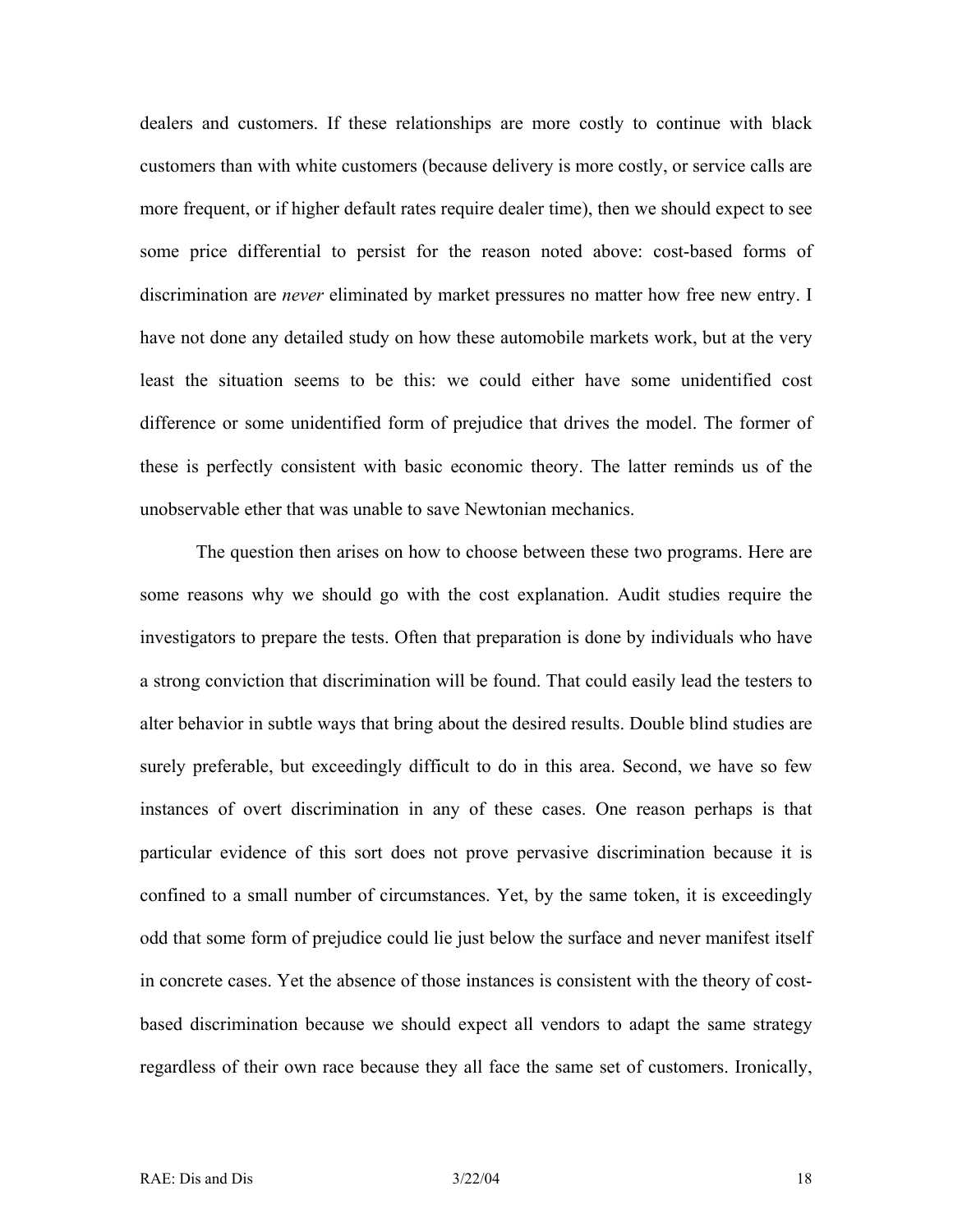dealers and customers. If these relationships are more costly to continue with black customers than with white customers (because delivery is more costly, or service calls are more frequent, or if higher default rates require dealer time), then we should expect to see some price differential to persist for the reason noted above: cost-based forms of discrimination are *never* eliminated by market pressures no matter how free new entry. I have not done any detailed study on how these automobile markets work, but at the very least the situation seems to be this: we could either have some unidentified cost difference or some unidentified form of prejudice that drives the model. The former of these is perfectly consistent with basic economic theory. The latter reminds us of the unobservable ether that was unable to save Newtonian mechanics.

The question then arises on how to choose between these two programs. Here are some reasons why we should go with the cost explanation. Audit studies require the investigators to prepare the tests. Often that preparation is done by individuals who have a strong conviction that discrimination will be found. That could easily lead the testers to alter behavior in subtle ways that bring about the desired results. Double blind studies are surely preferable, but exceedingly difficult to do in this area. Second, we have so few instances of overt discrimination in any of these cases. One reason perhaps is that particular evidence of this sort does not prove pervasive discrimination because it is confined to a small number of circumstances. Yet, by the same token, it is exceedingly odd that some form of prejudice could lie just below the surface and never manifest itself in concrete cases. Yet the absence of those instances is consistent with the theory of costbased discrimination because we should expect all vendors to adapt the same strategy regardless of their own race because they all face the same set of customers. Ironically,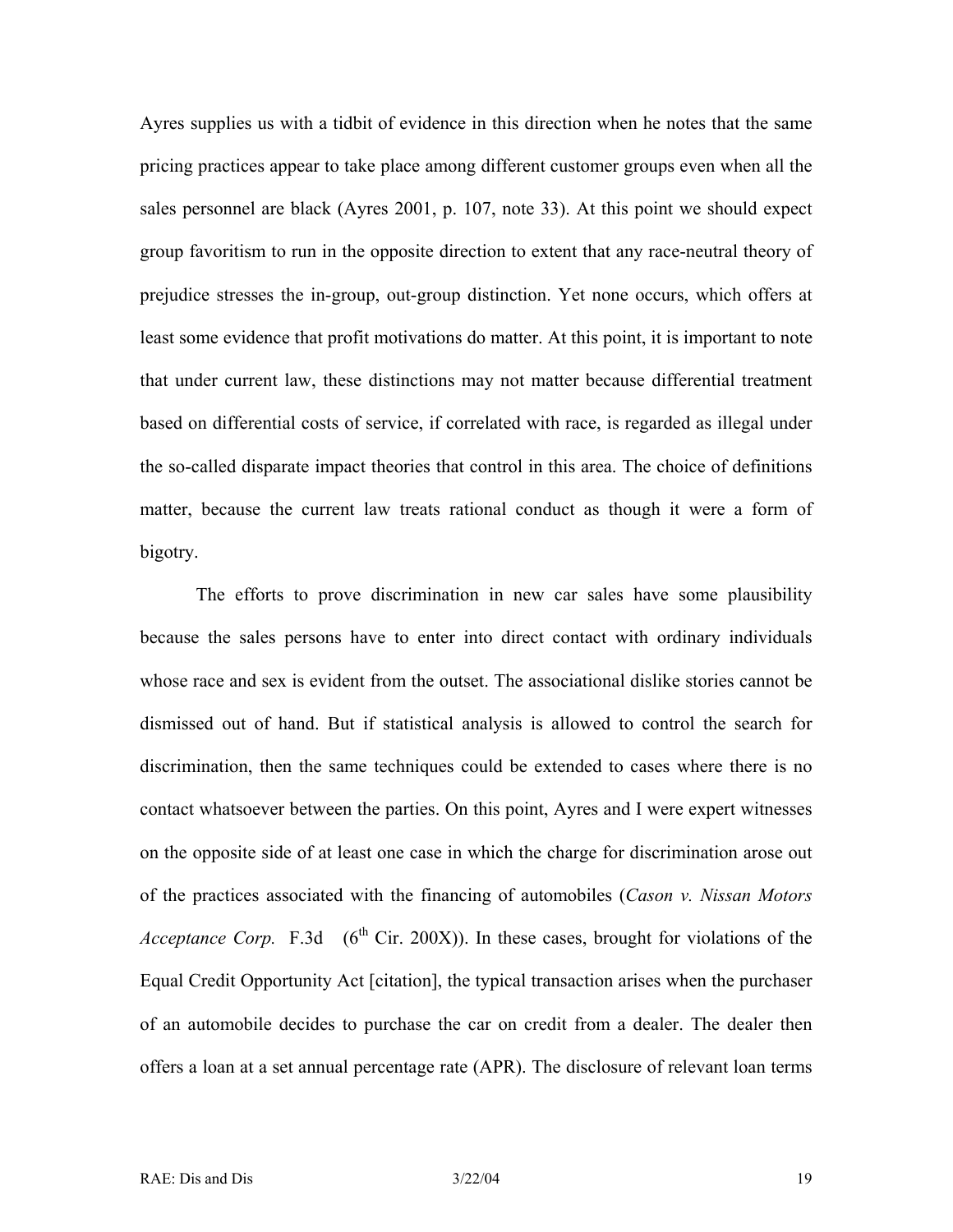Ayres supplies us with a tidbit of evidence in this direction when he notes that the same pricing practices appear to take place among different customer groups even when all the sales personnel are black (Ayres 2001, p. 107, note 33). At this point we should expect group favoritism to run in the opposite direction to extent that any race-neutral theory of prejudice stresses the in-group, out-group distinction. Yet none occurs, which offers at least some evidence that profit motivations do matter. At this point, it is important to note that under current law, these distinctions may not matter because differential treatment based on differential costs of service, if correlated with race, is regarded as illegal under the so-called disparate impact theories that control in this area. The choice of definitions matter, because the current law treats rational conduct as though it were a form of bigotry.

The efforts to prove discrimination in new car sales have some plausibility because the sales persons have to enter into direct contact with ordinary individuals whose race and sex is evident from the outset. The associational dislike stories cannot be dismissed out of hand. But if statistical analysis is allowed to control the search for discrimination, then the same techniques could be extended to cases where there is no contact whatsoever between the parties. On this point, Ayres and I were expert witnesses on the opposite side of at least one case in which the charge for discrimination arose out of the practices associated with the financing of automobiles (*Cason v. Nissan Motors Acceptance Corp.* F.3d  $(6^{th}$  Cir. 200X)). In these cases, brought for violations of the Equal Credit Opportunity Act [citation], the typical transaction arises when the purchaser of an automobile decides to purchase the car on credit from a dealer. The dealer then offers a loan at a set annual percentage rate (APR). The disclosure of relevant loan terms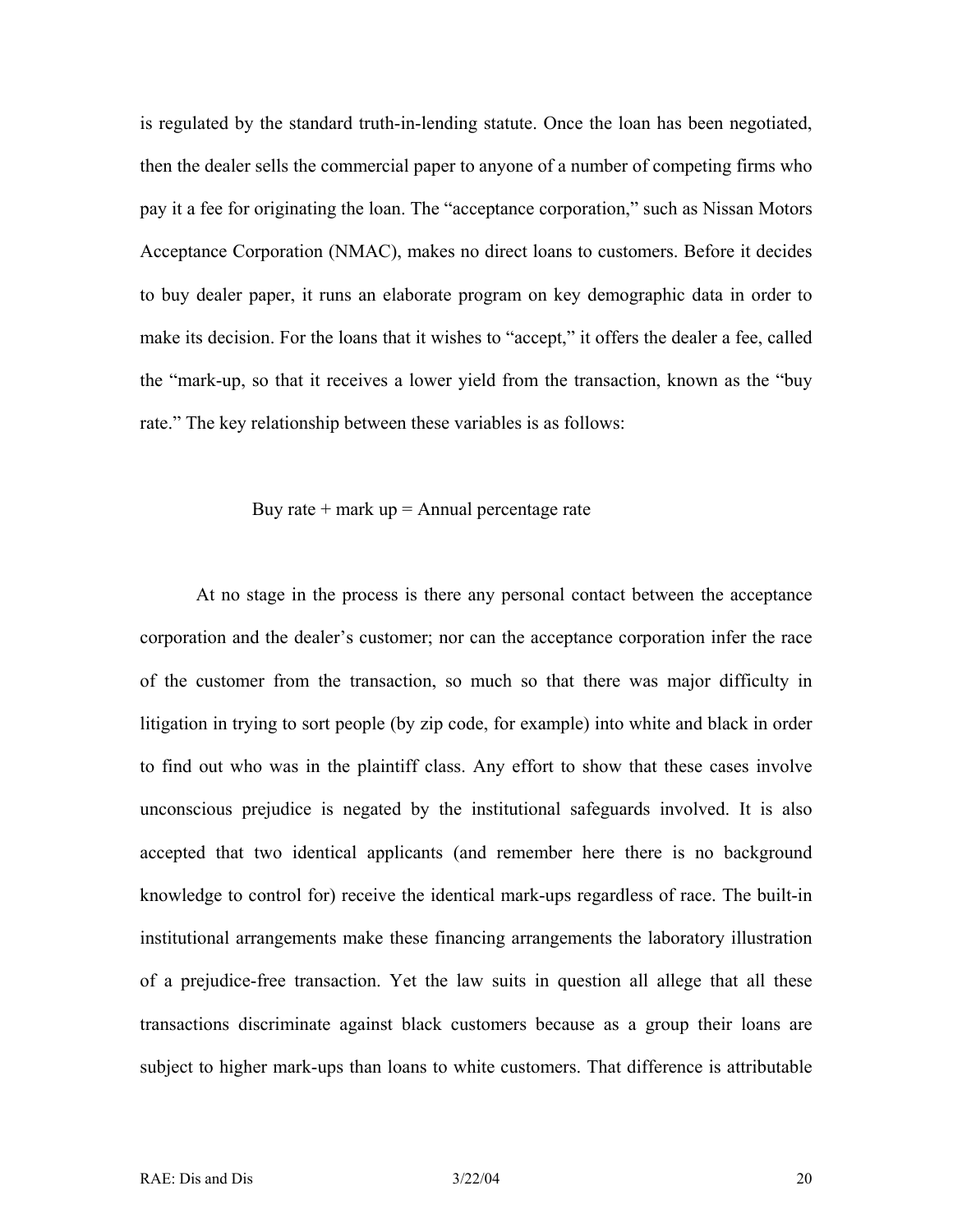is regulated by the standard truth-in-lending statute. Once the loan has been negotiated, then the dealer sells the commercial paper to anyone of a number of competing firms who pay it a fee for originating the loan. The "acceptance corporation," such as Nissan Motors Acceptance Corporation (NMAC), makes no direct loans to customers. Before it decides to buy dealer paper, it runs an elaborate program on key demographic data in order to make its decision. For the loans that it wishes to "accept," it offers the dealer a fee, called the "mark-up, so that it receives a lower yield from the transaction, known as the "buy rate." The key relationship between these variables is as follows:

Buy rate + mark up = Annual percentage rate

\n
$$
P = \frac{P}{P}
$$

At no stage in the process is there any personal contact between the acceptance corporation and the dealer's customer; nor can the acceptance corporation infer the race of the customer from the transaction, so much so that there was major difficulty in litigation in trying to sort people (by zip code, for example) into white and black in order to find out who was in the plaintiff class. Any effort to show that these cases involve unconscious prejudice is negated by the institutional safeguards involved. It is also accepted that two identical applicants (and remember here there is no background knowledge to control for) receive the identical mark-ups regardless of race. The built-in institutional arrangements make these financing arrangements the laboratory illustration of a prejudice-free transaction. Yet the law suits in question all allege that all these transactions discriminate against black customers because as a group their loans are subject to higher mark-ups than loans to white customers. That difference is attributable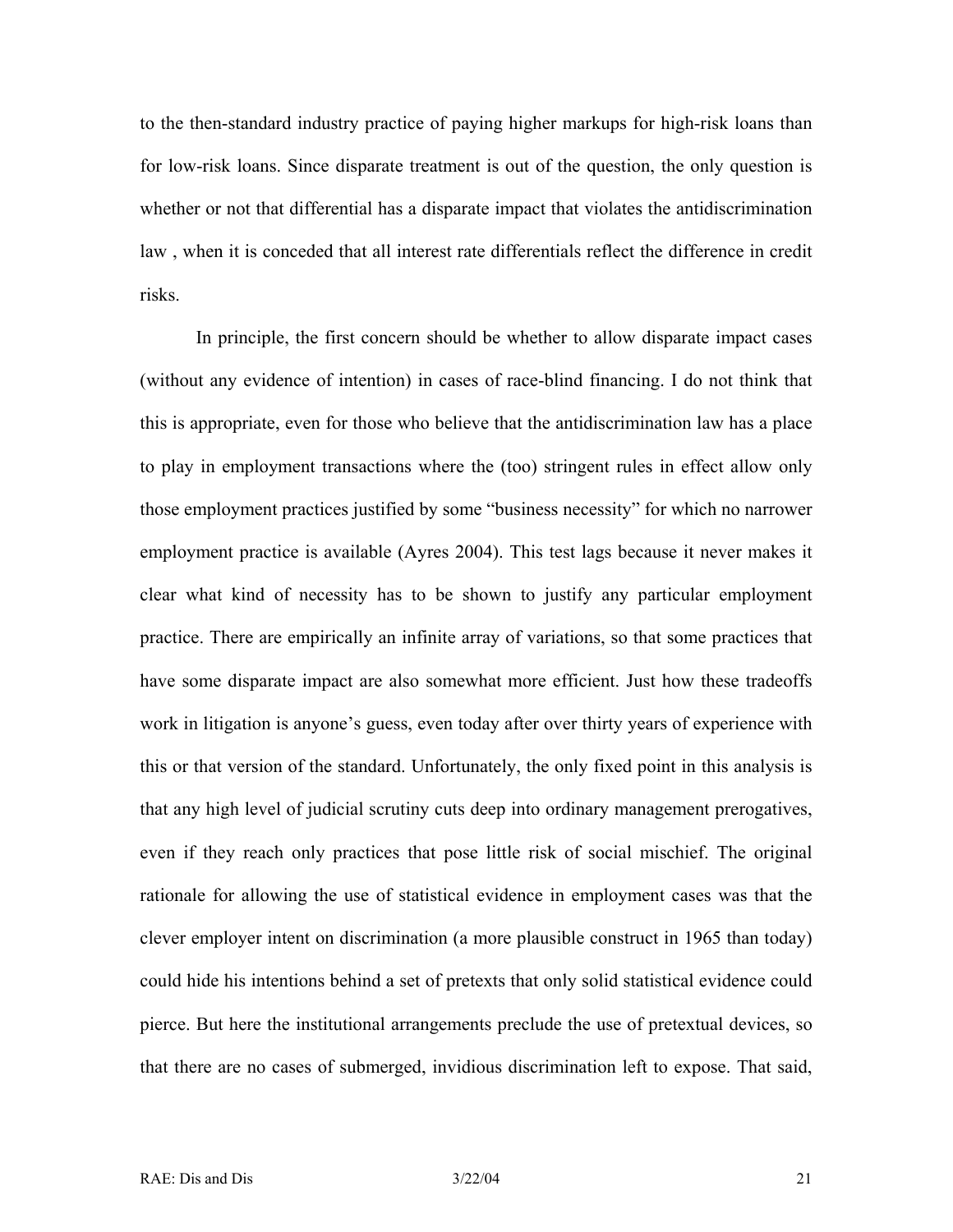to the then-standard industry practice of paying higher markups for high-risk loans than for low-risk loans. Since disparate treatment is out of the question, the only question is whether or not that differential has a disparate impact that violates the antidiscrimination law , when it is conceded that all interest rate differentials reflect the difference in credit risks.

In principle, the first concern should be whether to allow disparate impact cases (without any evidence of intention) in cases of race-blind financing. I do not think that this is appropriate, even for those who believe that the antidiscrimination law has a place to play in employment transactions where the (too) stringent rules in effect allow only those employment practices justified by some "business necessity" for which no narrower employment practice is available (Ayres 2004). This test lags because it never makes it clear what kind of necessity has to be shown to justify any particular employment practice. There are empirically an infinite array of variations, so that some practices that have some disparate impact are also somewhat more efficient. Just how these tradeoffs work in litigation is anyone's guess, even today after over thirty years of experience with this or that version of the standard. Unfortunately, the only fixed point in this analysis is that any high level of judicial scrutiny cuts deep into ordinary management prerogatives, even if they reach only practices that pose little risk of social mischief. The original rationale for allowing the use of statistical evidence in employment cases was that the clever employer intent on discrimination (a more plausible construct in 1965 than today) could hide his intentions behind a set of pretexts that only solid statistical evidence could pierce. But here the institutional arrangements preclude the use of pretextual devices, so that there are no cases of submerged, invidious discrimination left to expose. That said,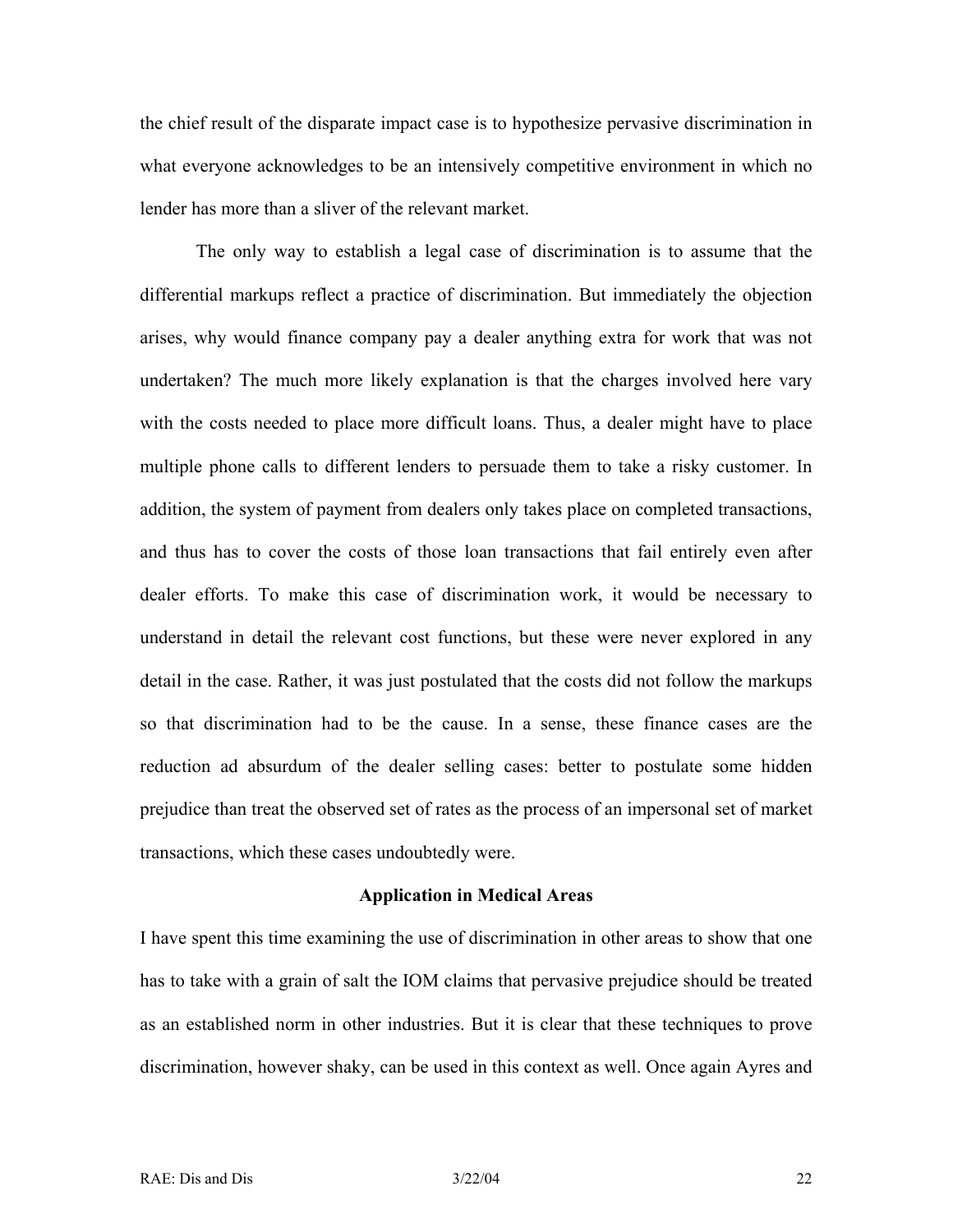the chief result of the disparate impact case is to hypothesize pervasive discrimination in what everyone acknowledges to be an intensively competitive environment in which no lender has more than a sliver of the relevant market.

The only way to establish a legal case of discrimination is to assume that the differential markups reflect a practice of discrimination. But immediately the objection arises, why would finance company pay a dealer anything extra for work that was not undertaken? The much more likely explanation is that the charges involved here vary with the costs needed to place more difficult loans. Thus, a dealer might have to place multiple phone calls to different lenders to persuade them to take a risky customer. In addition, the system of payment from dealers only takes place on completed transactions, and thus has to cover the costs of those loan transactions that fail entirely even after dealer efforts. To make this case of discrimination work, it would be necessary to understand in detail the relevant cost functions, but these were never explored in any detail in the case. Rather, it was just postulated that the costs did not follow the markups so that discrimination had to be the cause. In a sense, these finance cases are the reduction ad absurdum of the dealer selling cases: better to postulate some hidden prejudice than treat the observed set of rates as the process of an impersonal set of market transactions, which these cases undoubtedly were.

#### **Application in Medical Areas**

I have spent this time examining the use of discrimination in other areas to show that one has to take with a grain of salt the IOM claims that pervasive prejudice should be treated as an established norm in other industries. But it is clear that these techniques to prove discrimination, however shaky, can be used in this context as well. Once again Ayres and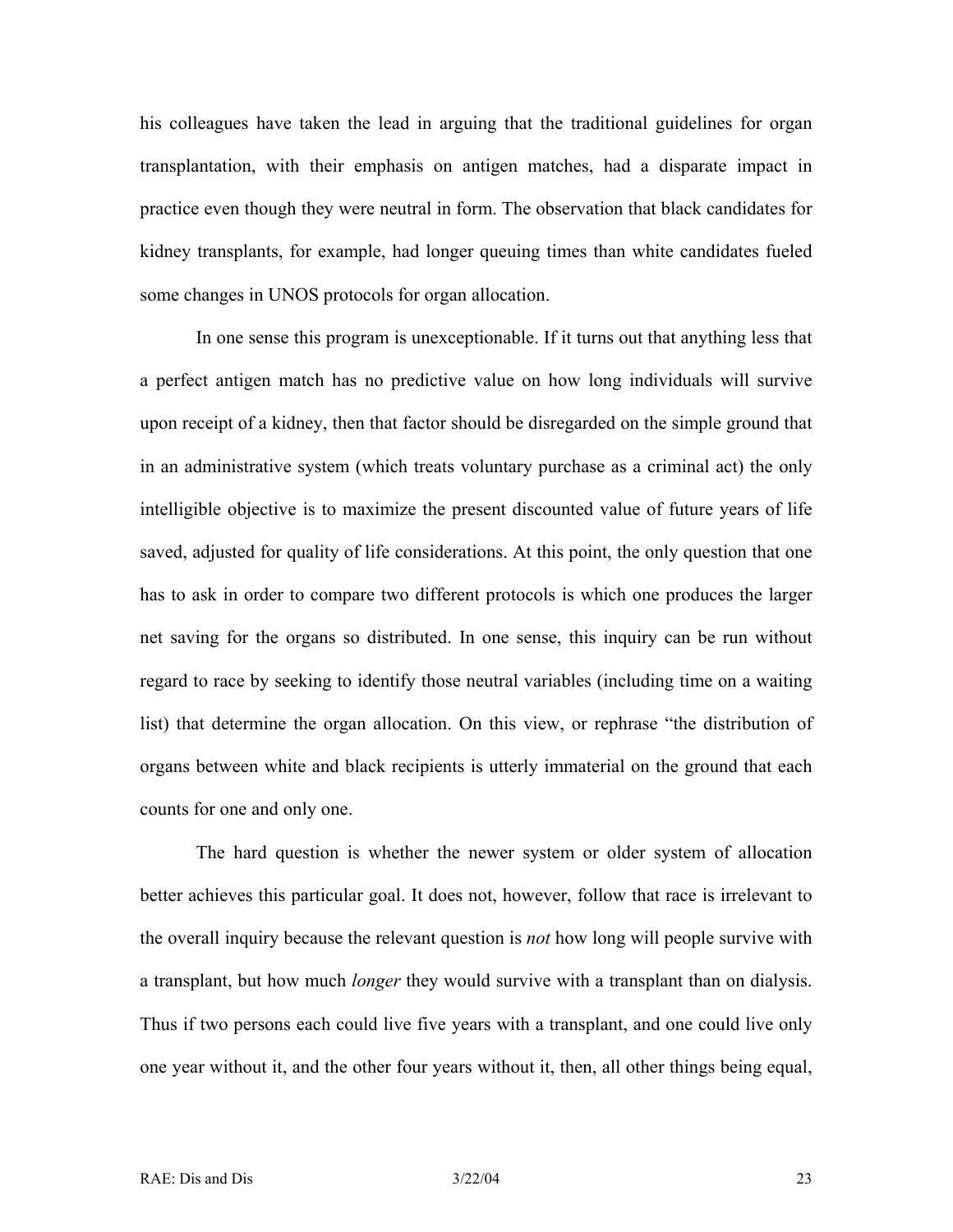his colleagues have taken the lead in arguing that the traditional guidelines for organ transplantation, with their emphasis on antigen matches, had a disparate impact in practice even though they were neutral in form. The observation that black candidates for kidney transplants, for example, had longer queuing times than white candidates fueled some changes in UNOS protocols for organ allocation.

In one sense this program is unexceptionable. If it turns out that anything less that a perfect antigen match has no predictive value on how long individuals will survive upon receipt of a kidney, then that factor should be disregarded on the simple ground that in an administrative system (which treats voluntary purchase as a criminal act) the only intelligible objective is to maximize the present discounted value of future years of life saved, adjusted for quality of life considerations. At this point, the only question that one has to ask in order to compare two different protocols is which one produces the larger net saving for the organs so distributed. In one sense, this inquiry can be run without regard to race by seeking to identify those neutral variables (including time on a waiting list) that determine the organ allocation. On this view, or rephrase "the distribution of organs between white and black recipients is utterly immaterial on the ground that each counts for one and only one.

The hard question is whether the newer system or older system of allocation better achieves this particular goal. It does not, however, follow that race is irrelevant to the overall inquiry because the relevant question is *not* how long will people survive with a transplant, but how much *longer* they would survive with a transplant than on dialysis. Thus if two persons each could live five years with a transplant, and one could live only one year without it, and the other four years without it, then, all other things being equal,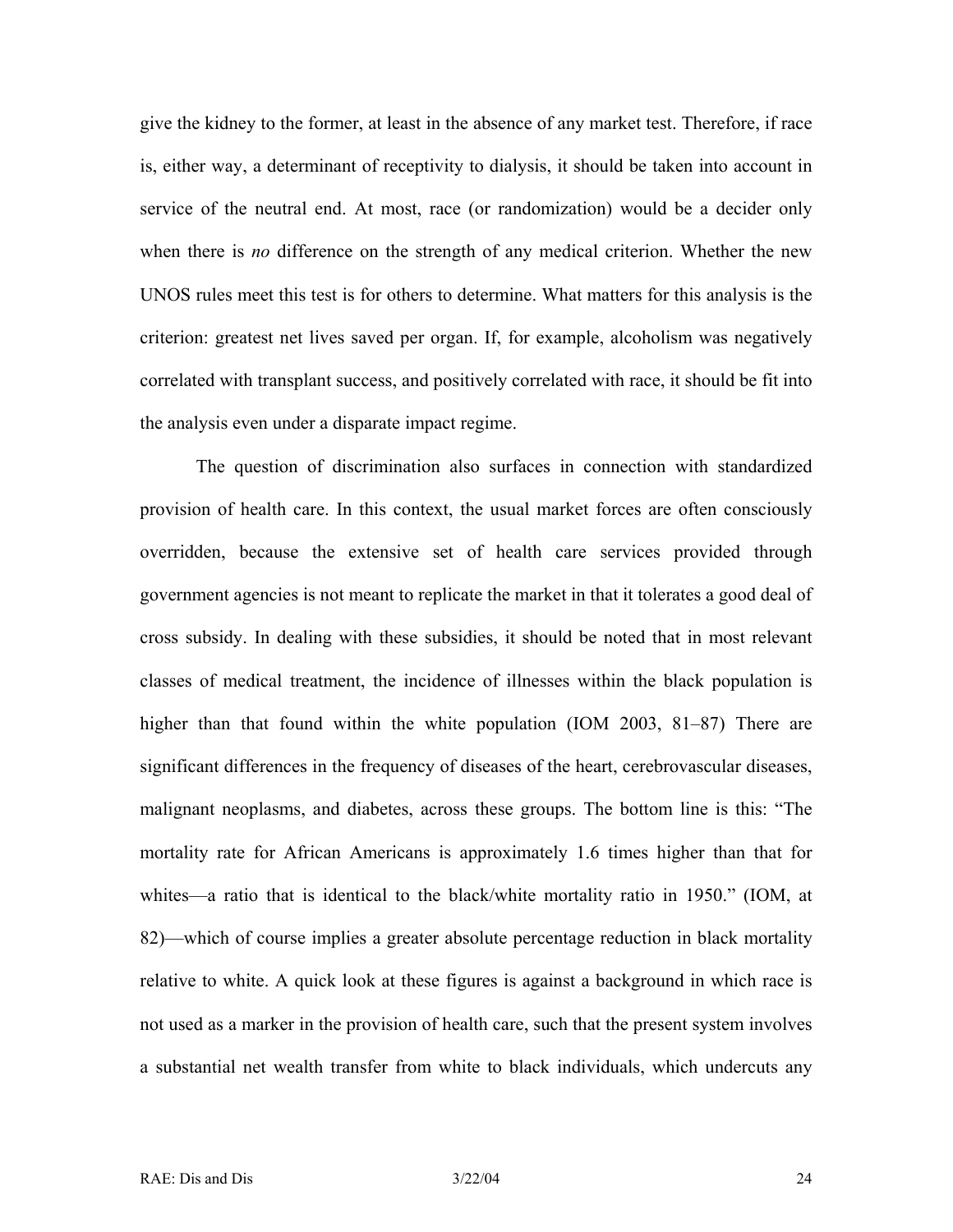give the kidney to the former, at least in the absence of any market test. Therefore, if race is, either way, a determinant of receptivity to dialysis, it should be taken into account in service of the neutral end. At most, race (or randomization) would be a decider only when there is *no* difference on the strength of any medical criterion. Whether the new UNOS rules meet this test is for others to determine. What matters for this analysis is the criterion: greatest net lives saved per organ. If, for example, alcoholism was negatively correlated with transplant success, and positively correlated with race, it should be fit into the analysis even under a disparate impact regime.

The question of discrimination also surfaces in connection with standardized provision of health care. In this context, the usual market forces are often consciously overridden, because the extensive set of health care services provided through government agencies is not meant to replicate the market in that it tolerates a good deal of cross subsidy. In dealing with these subsidies, it should be noted that in most relevant classes of medical treatment, the incidence of illnesses within the black population is higher than that found within the white population (IOM 2003, 81–87) There are significant differences in the frequency of diseases of the heart, cerebrovascular diseases, malignant neoplasms, and diabetes, across these groups. The bottom line is this: "The mortality rate for African Americans is approximately 1.6 times higher than that for whites—a ratio that is identical to the black/white mortality ratio in 1950." (IOM, at 82)—which of course implies a greater absolute percentage reduction in black mortality relative to white. A quick look at these figures is against a background in which race is not used as a marker in the provision of health care, such that the present system involves a substantial net wealth transfer from white to black individuals, which undercuts any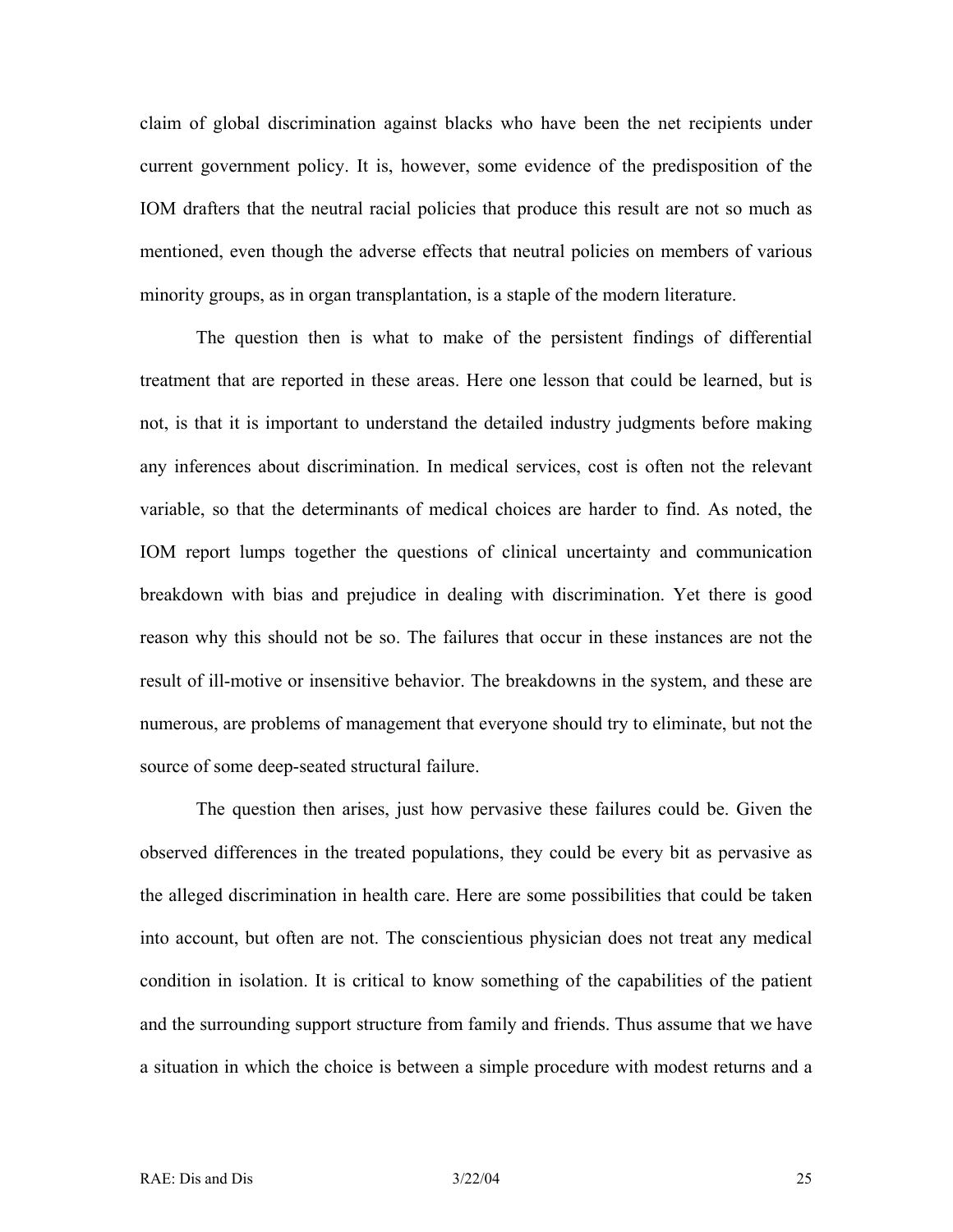claim of global discrimination against blacks who have been the net recipients under current government policy. It is, however, some evidence of the predisposition of the IOM drafters that the neutral racial policies that produce this result are not so much as mentioned, even though the adverse effects that neutral policies on members of various minority groups, as in organ transplantation, is a staple of the modern literature.

The question then is what to make of the persistent findings of differential treatment that are reported in these areas. Here one lesson that could be learned, but is not, is that it is important to understand the detailed industry judgments before making any inferences about discrimination. In medical services, cost is often not the relevant variable, so that the determinants of medical choices are harder to find. As noted, the IOM report lumps together the questions of clinical uncertainty and communication breakdown with bias and prejudice in dealing with discrimination. Yet there is good reason why this should not be so. The failures that occur in these instances are not the result of ill-motive or insensitive behavior. The breakdowns in the system, and these are numerous, are problems of management that everyone should try to eliminate, but not the source of some deep-seated structural failure.

The question then arises, just how pervasive these failures could be. Given the observed differences in the treated populations, they could be every bit as pervasive as the alleged discrimination in health care. Here are some possibilities that could be taken into account, but often are not. The conscientious physician does not treat any medical condition in isolation. It is critical to know something of the capabilities of the patient and the surrounding support structure from family and friends. Thus assume that we have a situation in which the choice is between a simple procedure with modest returns and a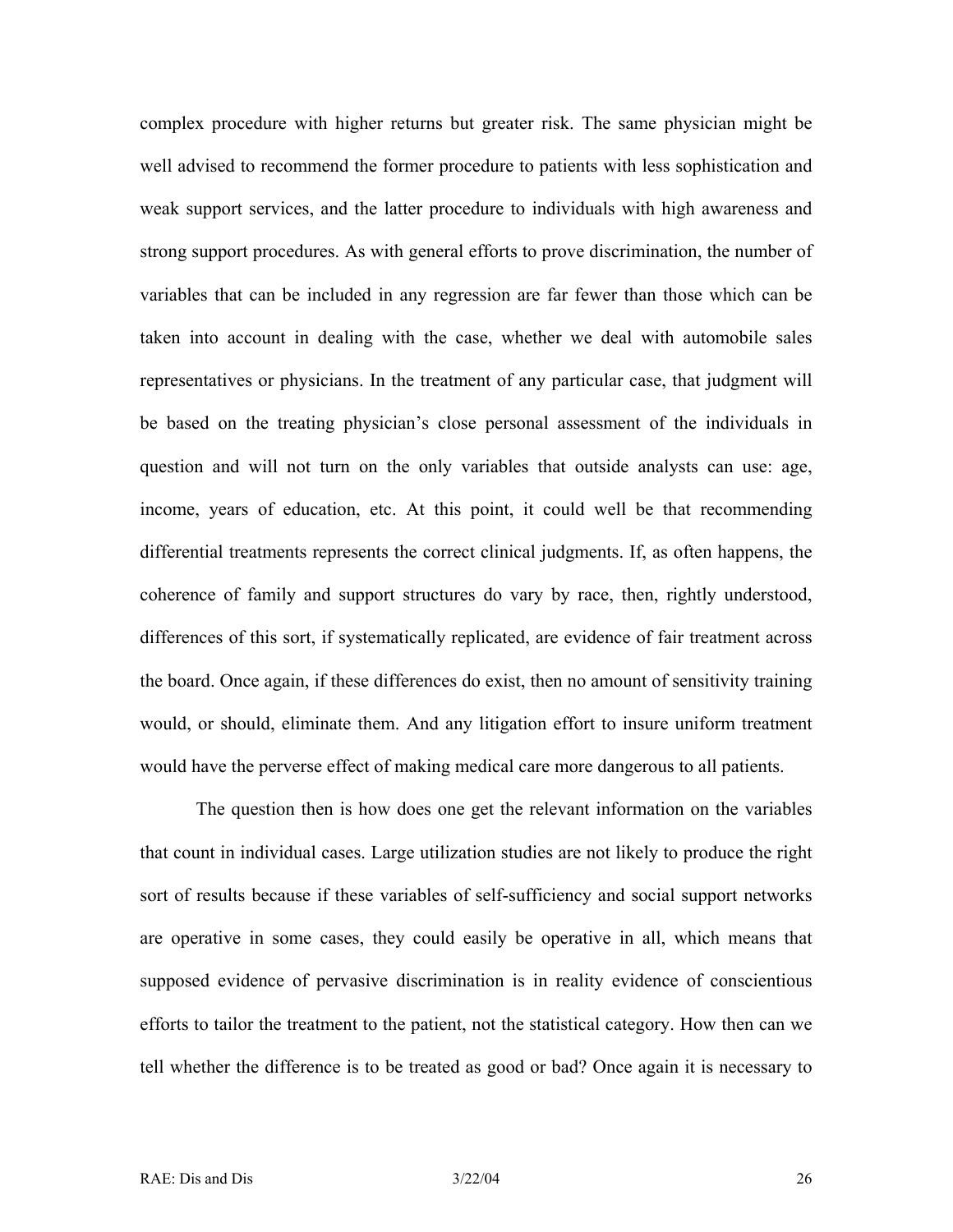complex procedure with higher returns but greater risk. The same physician might be well advised to recommend the former procedure to patients with less sophistication and weak support services, and the latter procedure to individuals with high awareness and strong support procedures. As with general efforts to prove discrimination, the number of variables that can be included in any regression are far fewer than those which can be taken into account in dealing with the case, whether we deal with automobile sales representatives or physicians. In the treatment of any particular case, that judgment will be based on the treating physician's close personal assessment of the individuals in question and will not turn on the only variables that outside analysts can use: age, income, years of education, etc. At this point, it could well be that recommending differential treatments represents the correct clinical judgments. If, as often happens, the coherence of family and support structures do vary by race, then, rightly understood, differences of this sort, if systematically replicated, are evidence of fair treatment across the board. Once again, if these differences do exist, then no amount of sensitivity training would, or should, eliminate them. And any litigation effort to insure uniform treatment would have the perverse effect of making medical care more dangerous to all patients.

The question then is how does one get the relevant information on the variables that count in individual cases. Large utilization studies are not likely to produce the right sort of results because if these variables of self-sufficiency and social support networks are operative in some cases, they could easily be operative in all, which means that supposed evidence of pervasive discrimination is in reality evidence of conscientious efforts to tailor the treatment to the patient, not the statistical category. How then can we tell whether the difference is to be treated as good or bad? Once again it is necessary to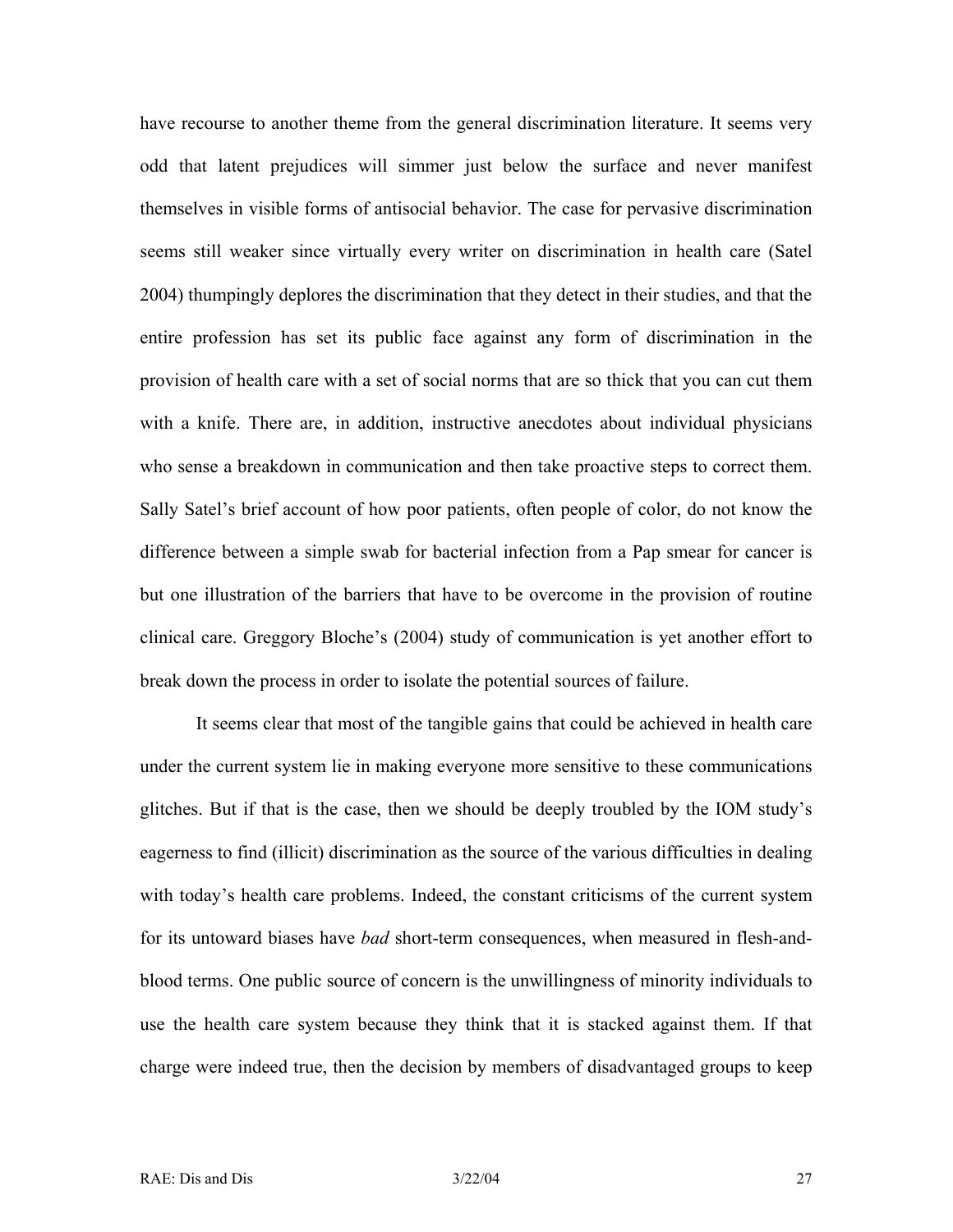have recourse to another theme from the general discrimination literature. It seems very odd that latent prejudices will simmer just below the surface and never manifest themselves in visible forms of antisocial behavior. The case for pervasive discrimination seems still weaker since virtually every writer on discrimination in health care (Satel 2004) thumpingly deplores the discrimination that they detect in their studies, and that the entire profession has set its public face against any form of discrimination in the provision of health care with a set of social norms that are so thick that you can cut them with a knife. There are, in addition, instructive anecdotes about individual physicians who sense a breakdown in communication and then take proactive steps to correct them. Sally Satel's brief account of how poor patients, often people of color, do not know the difference between a simple swab for bacterial infection from a Pap smear for cancer is but one illustration of the barriers that have to be overcome in the provision of routine clinical care. Greggory Bloche's (2004) study of communication is yet another effort to break down the process in order to isolate the potential sources of failure.

It seems clear that most of the tangible gains that could be achieved in health care under the current system lie in making everyone more sensitive to these communications glitches. But if that is the case, then we should be deeply troubled by the IOM study's eagerness to find (illicit) discrimination as the source of the various difficulties in dealing with today's health care problems. Indeed, the constant criticisms of the current system for its untoward biases have *bad* short-term consequences, when measured in flesh-andblood terms. One public source of concern is the unwillingness of minority individuals to use the health care system because they think that it is stacked against them. If that charge were indeed true, then the decision by members of disadvantaged groups to keep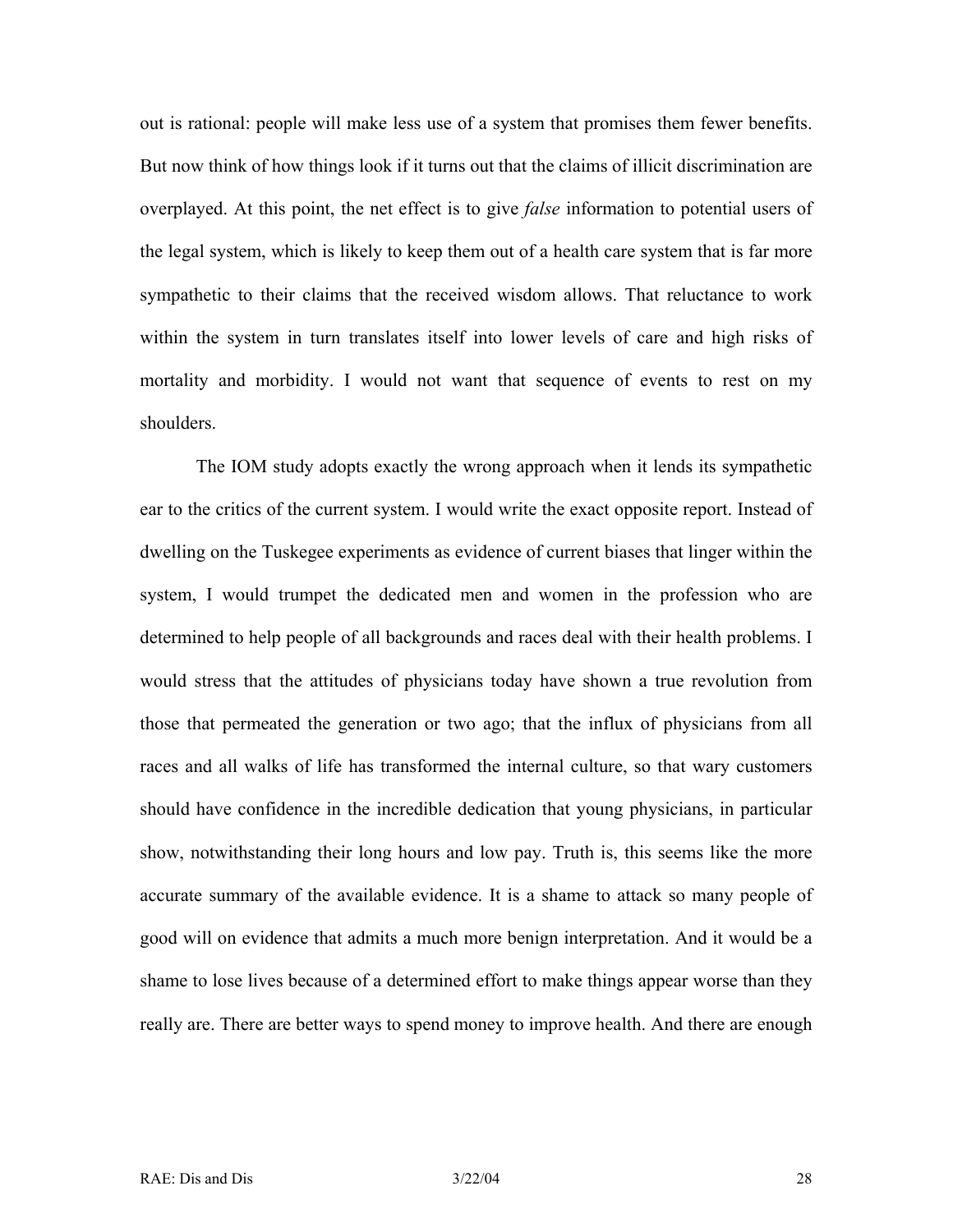out is rational: people will make less use of a system that promises them fewer benefits. But now think of how things look if it turns out that the claims of illicit discrimination are overplayed. At this point, the net effect is to give *false* information to potential users of the legal system, which is likely to keep them out of a health care system that is far more sympathetic to their claims that the received wisdom allows. That reluctance to work within the system in turn translates itself into lower levels of care and high risks of mortality and morbidity. I would not want that sequence of events to rest on my shoulders.

The IOM study adopts exactly the wrong approach when it lends its sympathetic ear to the critics of the current system. I would write the exact opposite report. Instead of dwelling on the Tuskegee experiments as evidence of current biases that linger within the system, I would trumpet the dedicated men and women in the profession who are determined to help people of all backgrounds and races deal with their health problems. I would stress that the attitudes of physicians today have shown a true revolution from those that permeated the generation or two ago; that the influx of physicians from all races and all walks of life has transformed the internal culture, so that wary customers should have confidence in the incredible dedication that young physicians, in particular show, notwithstanding their long hours and low pay. Truth is, this seems like the more accurate summary of the available evidence. It is a shame to attack so many people of good will on evidence that admits a much more benign interpretation. And it would be a shame to lose lives because of a determined effort to make things appear worse than they really are. There are better ways to spend money to improve health. And there are enough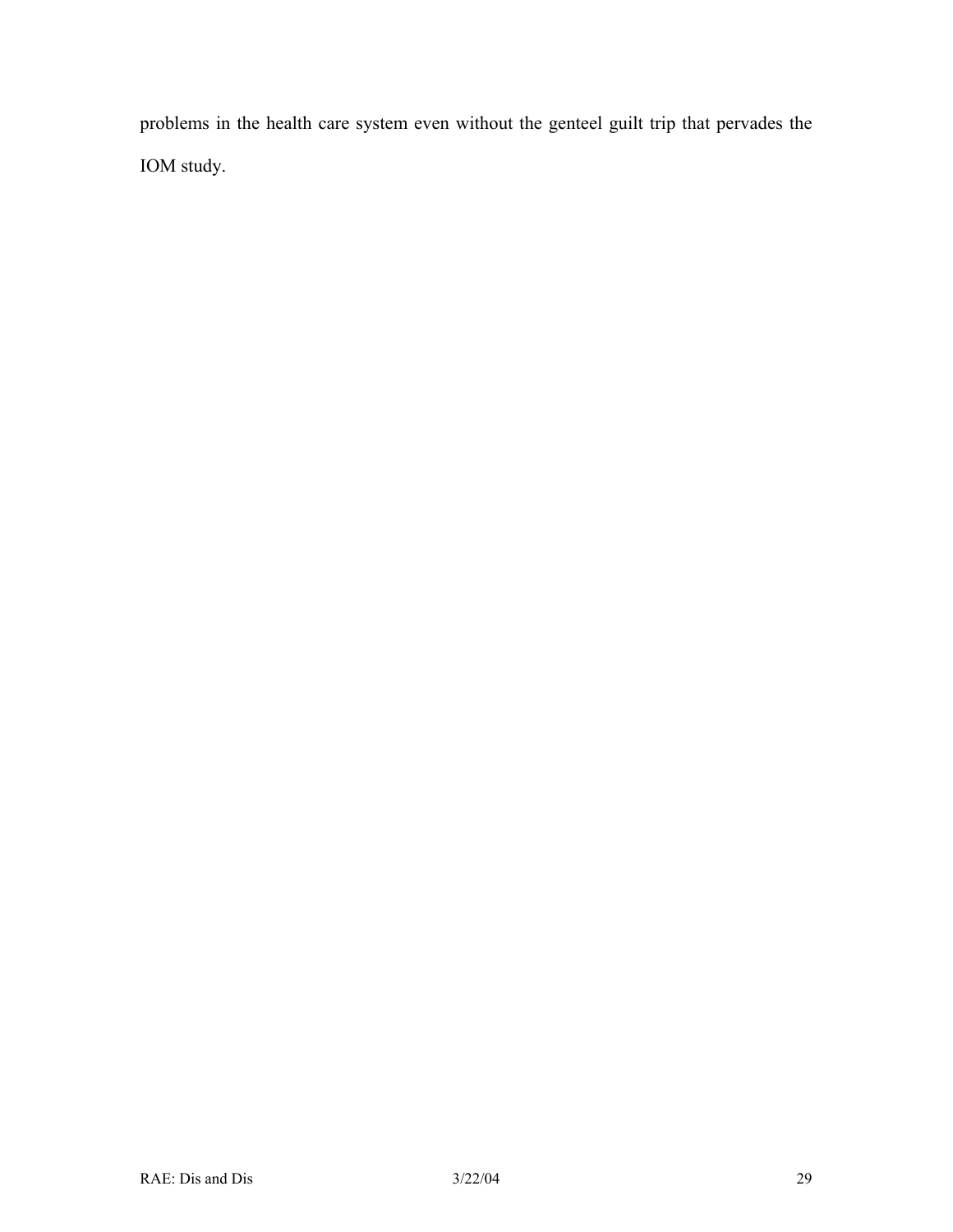problems in the health care system even without the genteel guilt trip that pervades the IOM study.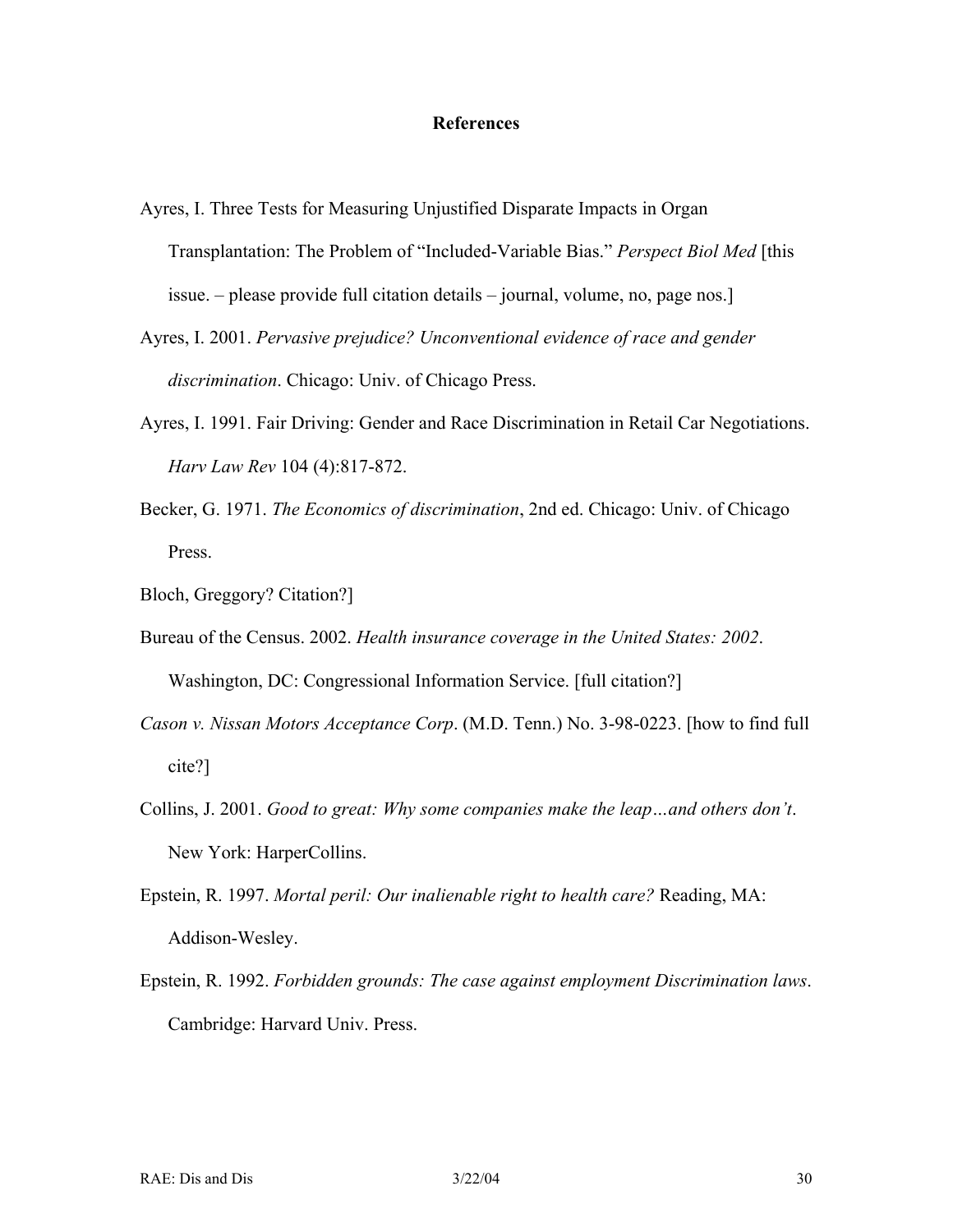#### **References**

- Ayres, I. Three Tests for Measuring Unjustified Disparate Impacts in Organ Transplantation: The Problem of "Included-Variable Bias." *Perspect Biol Med* [this issue. – please provide full citation details – journal, volume, no, page nos.]
- Ayres, I. 2001. *Pervasive prejudice? Unconventional evidence of race and gender discrimination*. Chicago: Univ. of Chicago Press.
- Ayres, I. 1991. Fair Driving: Gender and Race Discrimination in Retail Car Negotiations. *Harv Law Rev* 104 (4):817-872.
- Becker, G. 1971. *The Economics of discrimination*, 2nd ed. Chicago: Univ. of Chicago Press.
- Bloch, Greggory? Citation?]
- Bureau of the Census. 2002. *Health insurance coverage in the United States: 2002*. Washington, DC: Congressional Information Service. [full citation?]
- *Cason v. Nissan Motors Acceptance Corp*. (M.D. Tenn.) No. 3-98-0223. [how to find full cite?]
- Collins, J. 2001. *Good to great: Why some companies make the leap…and others don't*. New York: HarperCollins.
- Epstein, R. 1997. *Mortal peril: Our inalienable right to health care?* Reading, MA: Addison-Wesley.
- Epstein, R. 1992. *Forbidden grounds: The case against employment Discrimination laws*. Cambridge: Harvard Univ. Press.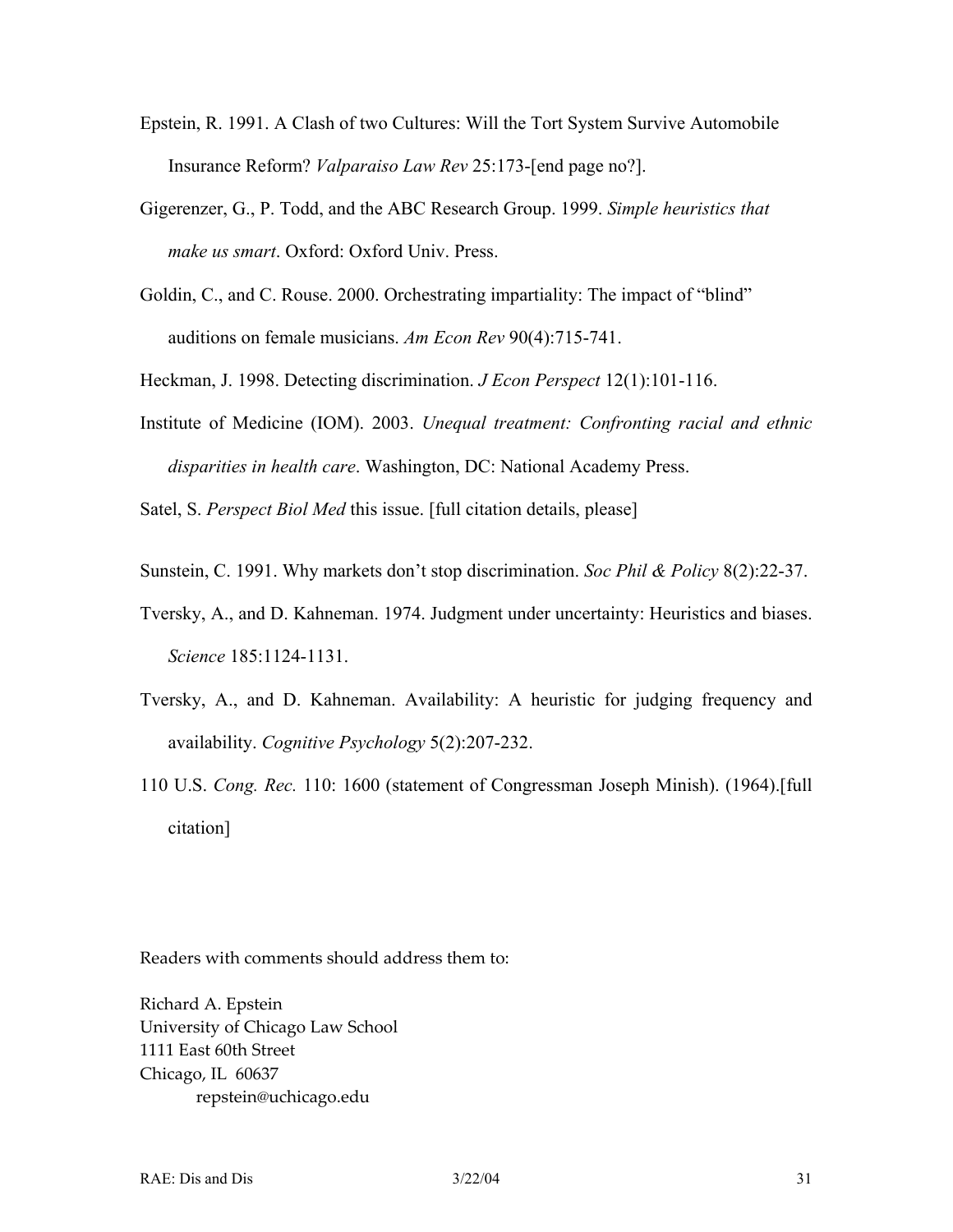- Epstein, R. 1991. A Clash of two Cultures: Will the Tort System Survive Automobile Insurance Reform? *Valparaiso Law Rev* 25:173-[end page no?].
- Gigerenzer, G., P. Todd, and the ABC Research Group. 1999. *Simple heuristics that make us smart*. Oxford: Oxford Univ. Press.
- Goldin, C., and C. Rouse. 2000. Orchestrating impartiality: The impact of "blind" auditions on female musicians. *Am Econ Rev* 90(4):715-741.

Heckman, J. 1998. Detecting discrimination. *J Econ Perspect* 12(1):101-116.

Institute of Medicine (IOM). 2003. *Unequal treatment: Confronting racial and ethnic disparities in health care*. Washington, DC: National Academy Press.

Satel, S. *Perspect Biol Med* this issue. [full citation details, please]

- Sunstein, C. 1991. Why markets don't stop discrimination. *Soc Phil & Policy* 8(2):22-37.
- Tversky, A., and D. Kahneman. 1974. Judgment under uncertainty: Heuristics and biases. *Science* 185:1124-1131.
- Tversky, A., and D. Kahneman. Availability: A heuristic for judging frequency and availability. *Cognitive Psychology* 5(2):207-232.
- 110 U.S. *Cong. Rec.* 110: 1600 (statement of Congressman Joseph Minish). (1964).[full citation]

Readers with comments should address them to:

Richard A. Epstein University of Chicago Law School 1111 East 60th Street Chicago, IL 60637 repstein@uchicago.edu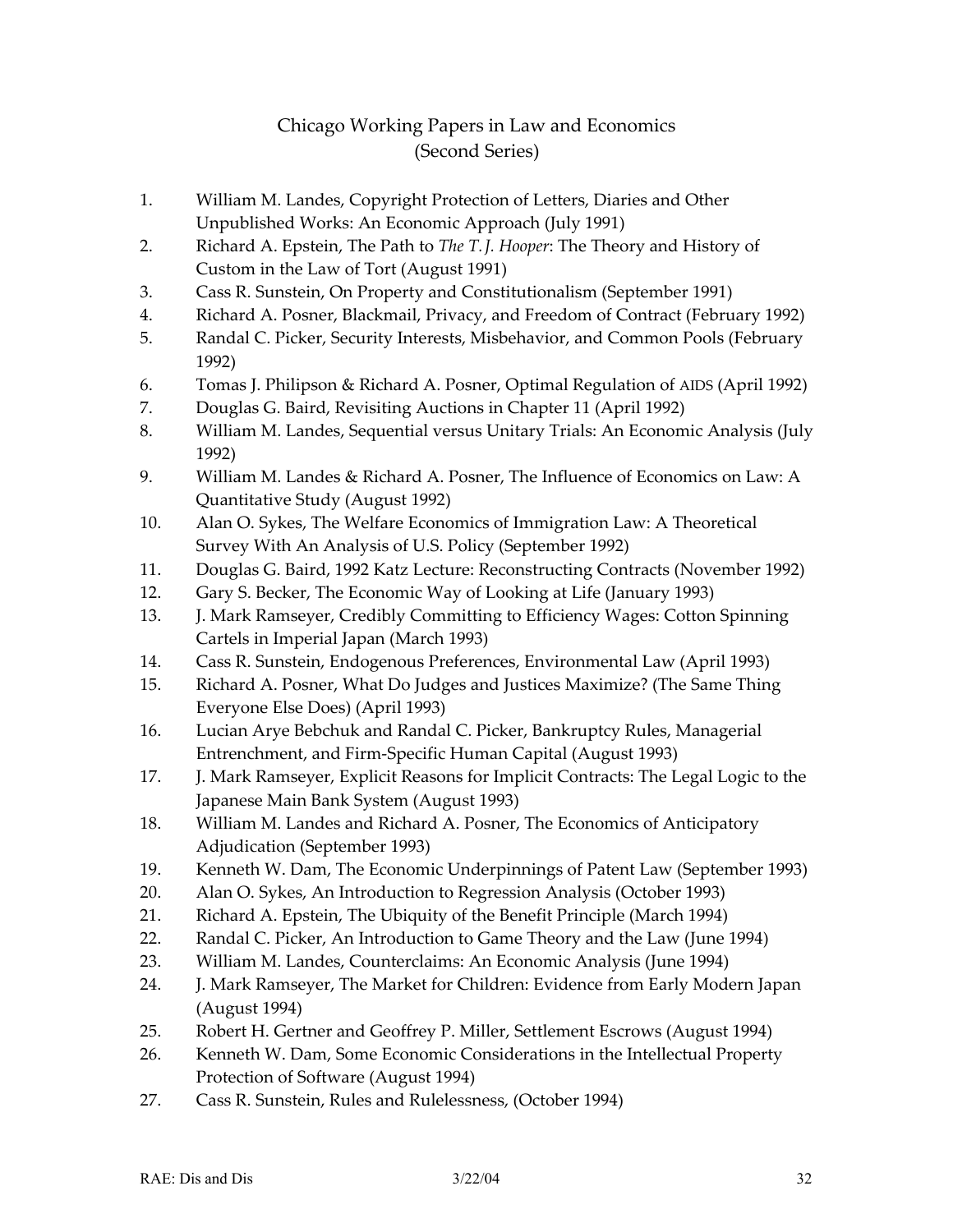## Chicago Working Papers in Law and Economics (Second Series)

- 1. William M. Landes, Copyright Protection of Letters, Diaries and Other Unpublished Works: An Economic Approach (July 1991)
- 2. Richard A. Epstein, The Path to *The T. J. Hooper*: The Theory and History of Custom in the Law of Tort (August 1991)
- 3. Cass R. Sunstein, On Property and Constitutionalism (September 1991)
- 4. Richard A. Posner, Blackmail, Privacy, and Freedom of Contract (February 1992)
- 5. Randal C. Picker, Security Interests, Misbehavior, and Common Pools (February 1992)
- 6. Tomas J. Philipson & Richard A. Posner, Optimal Regulation of AIDS (April 1992)
- 7. Douglas G. Baird, Revisiting Auctions in Chapter 11 (April 1992)
- 8. William M. Landes, Sequential versus Unitary Trials: An Economic Analysis (July 1992)
- 9. William M. Landes & Richard A. Posner, The Influence of Economics on Law: A Quantitative Study (August 1992)
- 10. Alan O. Sykes, The Welfare Economics of Immigration Law: A Theoretical Survey With An Analysis of U.S. Policy (September 1992)
- 11. Douglas G. Baird, 1992 Katz Lecture: Reconstructing Contracts (November 1992)
- 12. Gary S. Becker, The Economic Way of Looking at Life (January 1993)
- 13. J. Mark Ramseyer, Credibly Committing to Efficiency Wages: Cotton Spinning Cartels in Imperial Japan (March 1993)
- 14. Cass R. Sunstein, Endogenous Preferences, Environmental Law (April 1993)
- 15. Richard A. Posner, What Do Judges and Justices Maximize? (The Same Thing Everyone Else Does) (April 1993)
- 16. Lucian Arye Bebchuk and Randal C. Picker, Bankruptcy Rules, Managerial Entrenchment, and Firm-Specific Human Capital (August 1993)
- 17. J. Mark Ramseyer, Explicit Reasons for Implicit Contracts: The Legal Logic to the Japanese Main Bank System (August 1993)
- 18. William M. Landes and Richard A. Posner, The Economics of Anticipatory Adjudication (September 1993)
- 19. Kenneth W. Dam, The Economic Underpinnings of Patent Law (September 1993)
- 20. Alan O. Sykes, An Introduction to Regression Analysis (October 1993)
- 21. Richard A. Epstein, The Ubiquity of the Benefit Principle (March 1994)
- 22. Randal C. Picker, An Introduction to Game Theory and the Law (June 1994)
- 23. William M. Landes, Counterclaims: An Economic Analysis (June 1994)
- 24. J. Mark Ramseyer, The Market for Children: Evidence from Early Modern Japan (August 1994)
- 25. Robert H. Gertner and Geoffrey P. Miller, Settlement Escrows (August 1994)
- 26. Kenneth W. Dam, Some Economic Considerations in the Intellectual Property Protection of Software (August 1994)
- 27. Cass R. Sunstein, Rules and Rulelessness, (October 1994)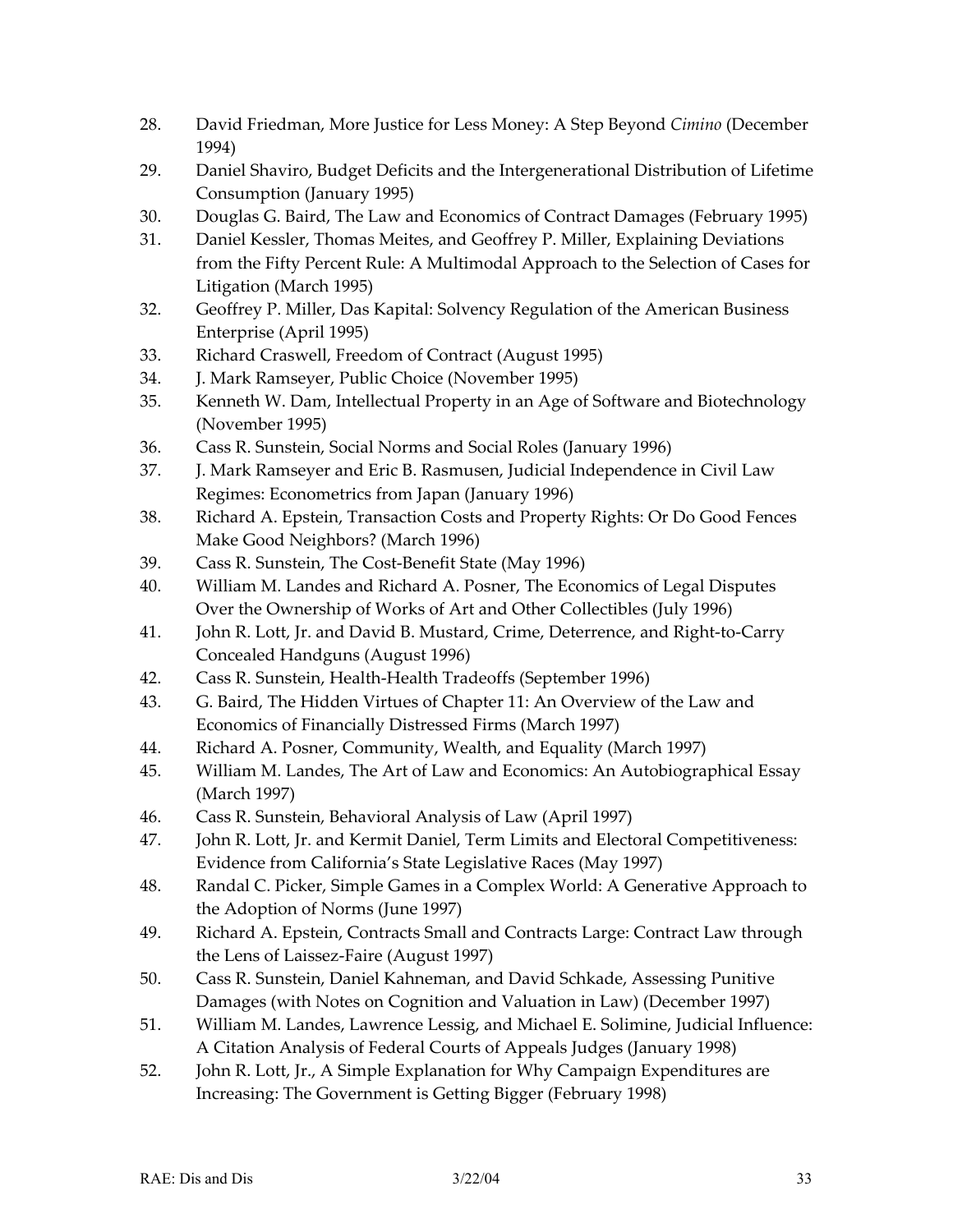- 28. David Friedman, More Justice for Less Money: A Step Beyond *Cimino* (December 1994)
- 29. Daniel Shaviro, Budget Deficits and the Intergenerational Distribution of Lifetime Consumption (January 1995)
- 30. Douglas G. Baird, The Law and Economics of Contract Damages (February 1995)
- 31. Daniel Kessler, Thomas Meites, and Geoffrey P. Miller, Explaining Deviations from the Fifty Percent Rule: A Multimodal Approach to the Selection of Cases for Litigation (March 1995)
- 32. Geoffrey P. Miller, Das Kapital: Solvency Regulation of the American Business Enterprise (April 1995)
- 33. Richard Craswell, Freedom of Contract (August 1995)
- 34. J. Mark Ramseyer, Public Choice (November 1995)
- 35. Kenneth W. Dam, Intellectual Property in an Age of Software and Biotechnology (November 1995)
- 36. Cass R. Sunstein, Social Norms and Social Roles (January 1996)
- 37. J. Mark Ramseyer and Eric B. Rasmusen, Judicial Independence in Civil Law Regimes: Econometrics from Japan (January 1996)
- 38. Richard A. Epstein, Transaction Costs and Property Rights: Or Do Good Fences Make Good Neighbors? (March 1996)
- 39. Cass R. Sunstein, The Cost-Benefit State (May 1996)
- 40. William M. Landes and Richard A. Posner, The Economics of Legal Disputes Over the Ownership of Works of Art and Other Collectibles (July 1996)
- 41. John R. Lott, Jr. and David B. Mustard, Crime, Deterrence, and Right-to-Carry Concealed Handguns (August 1996)
- 42. Cass R. Sunstein, Health-Health Tradeoffs (September 1996)
- 43. G. Baird, The Hidden Virtues of Chapter 11: An Overview of the Law and Economics of Financially Distressed Firms (March 1997)
- 44. Richard A. Posner, Community, Wealth, and Equality (March 1997)
- 45. William M. Landes, The Art of Law and Economics: An Autobiographical Essay (March 1997)
- 46. Cass R. Sunstein, Behavioral Analysis of Law (April 1997)
- 47. John R. Lott, Jr. and Kermit Daniel, Term Limits and Electoral Competitiveness: Evidence from California's State Legislative Races (May 1997)
- 48. Randal C. Picker, Simple Games in a Complex World: A Generative Approach to the Adoption of Norms (June 1997)
- 49. Richard A. Epstein, Contracts Small and Contracts Large: Contract Law through the Lens of Laissez-Faire (August 1997)
- 50. Cass R. Sunstein, Daniel Kahneman, and David Schkade, Assessing Punitive Damages (with Notes on Cognition and Valuation in Law) (December 1997)
- 51. William M. Landes, Lawrence Lessig, and Michael E. Solimine, Judicial Influence: A Citation Analysis of Federal Courts of Appeals Judges (January 1998)
- 52. John R. Lott, Jr., A Simple Explanation for Why Campaign Expenditures are Increasing: The Government is Getting Bigger (February 1998)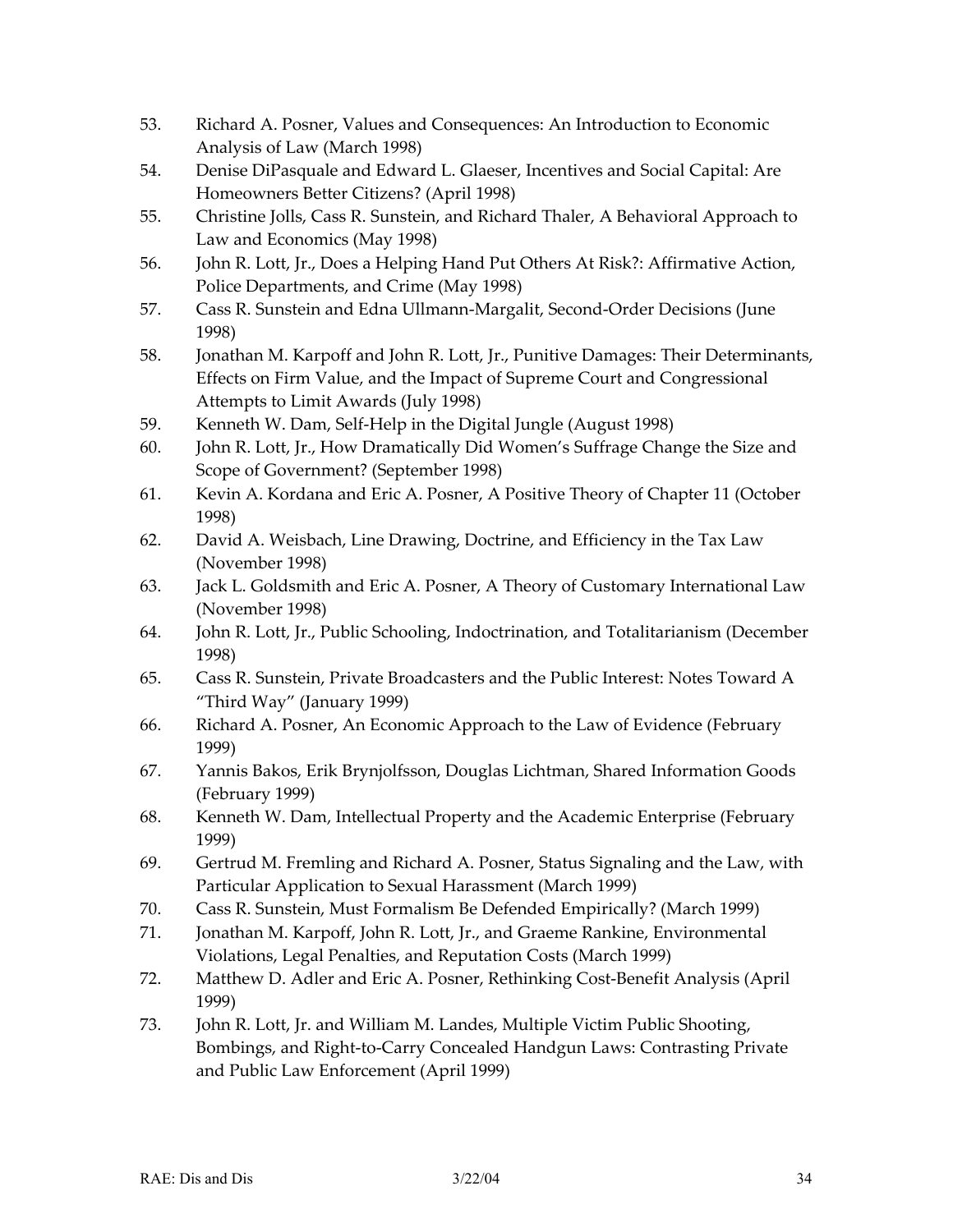- 53. Richard A. Posner, Values and Consequences: An Introduction to Economic Analysis of Law (March 1998)
- 54. Denise DiPasquale and Edward L. Glaeser, Incentives and Social Capital: Are Homeowners Better Citizens? (April 1998)
- 55. Christine Jolls, Cass R. Sunstein, and Richard Thaler, A Behavioral Approach to Law and Economics (May 1998)
- 56. John R. Lott, Jr., Does a Helping Hand Put Others At Risk?: Affirmative Action, Police Departments, and Crime (May 1998)
- 57. Cass R. Sunstein and Edna Ullmann-Margalit, Second-Order Decisions (June 1998)
- 58. Jonathan M. Karpoff and John R. Lott, Jr., Punitive Damages: Their Determinants, Effects on Firm Value, and the Impact of Supreme Court and Congressional Attempts to Limit Awards (July 1998)
- 59. Kenneth W. Dam, Self-Help in the Digital Jungle (August 1998)
- 60. John R. Lott, Jr., How Dramatically Did Women's Suffrage Change the Size and Scope of Government? (September 1998)
- 61. Kevin A. Kordana and Eric A. Posner, A Positive Theory of Chapter 11 (October 1998)
- 62. David A. Weisbach, Line Drawing, Doctrine, and Efficiency in the Tax Law (November 1998)
- 63. Jack L. Goldsmith and Eric A. Posner, A Theory of Customary International Law (November 1998)
- 64. John R. Lott, Jr., Public Schooling, Indoctrination, and Totalitarianism (December 1998)
- 65. Cass R. Sunstein, Private Broadcasters and the Public Interest: Notes Toward A "Third Way" (January 1999)
- 66. Richard A. Posner, An Economic Approach to the Law of Evidence (February 1999)
- 67. Yannis Bakos, Erik Brynjolfsson, Douglas Lichtman, Shared Information Goods (February 1999)
- 68. Kenneth W. Dam, Intellectual Property and the Academic Enterprise (February 1999)
- 69. Gertrud M. Fremling and Richard A. Posner, Status Signaling and the Law, with Particular Application to Sexual Harassment (March 1999)
- 70. Cass R. Sunstein, Must Formalism Be Defended Empirically? (March 1999)
- 71. Jonathan M. Karpoff, John R. Lott, Jr., and Graeme Rankine, Environmental Violations, Legal Penalties, and Reputation Costs (March 1999)
- 72. Matthew D. Adler and Eric A. Posner, Rethinking Cost-Benefit Analysis (April 1999)
- 73. John R. Lott, Jr. and William M. Landes, Multiple Victim Public Shooting, Bombings, and Right-to-Carry Concealed Handgun Laws: Contrasting Private and Public Law Enforcement (April 1999)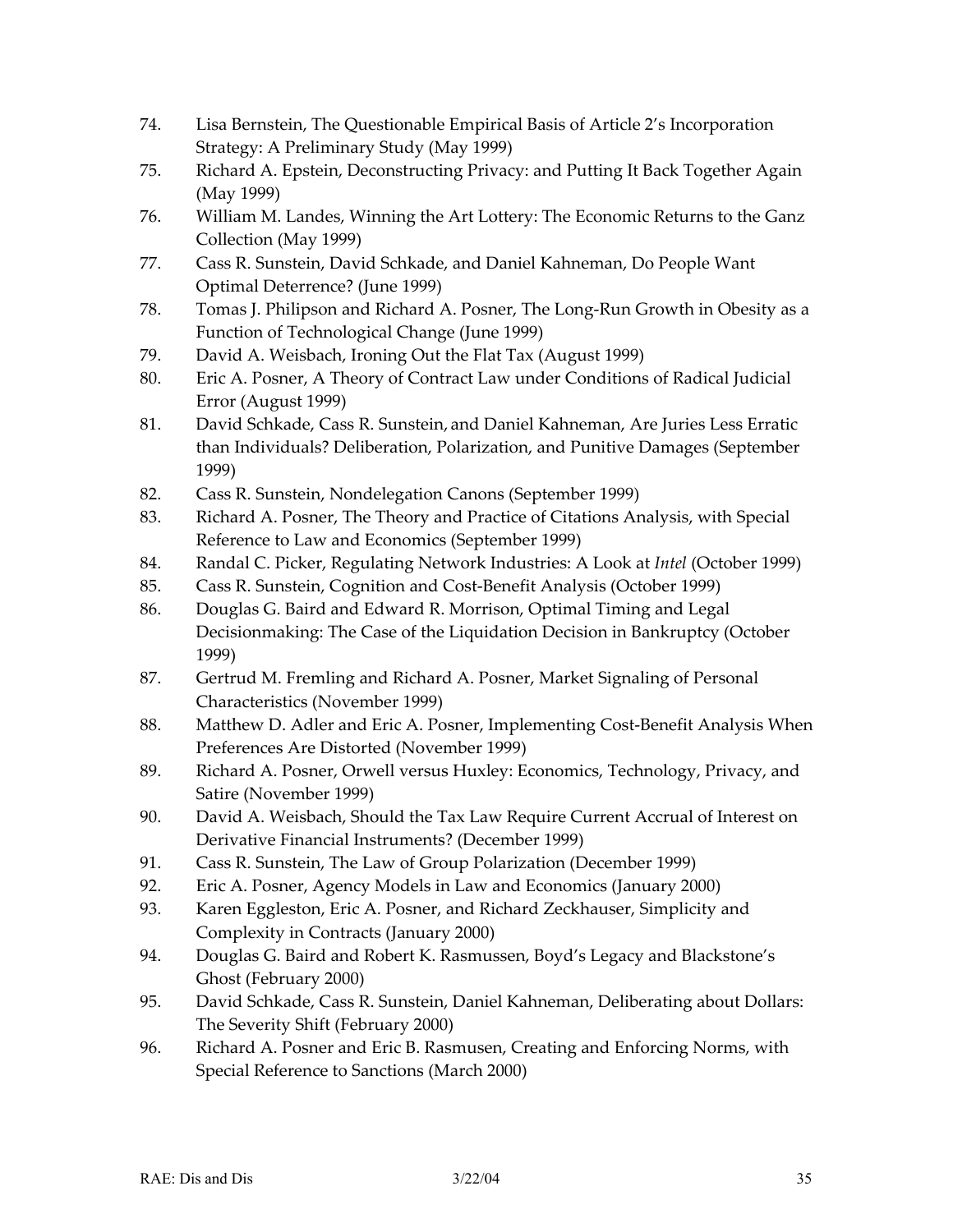- 74. Lisa Bernstein, The Questionable Empirical Basis of Article 2's Incorporation Strategy: A Preliminary Study (May 1999)
- 75. Richard A. Epstein, Deconstructing Privacy: and Putting It Back Together Again (May 1999)
- 76. William M. Landes, Winning the Art Lottery: The Economic Returns to the Ganz Collection (May 1999)
- 77. Cass R. Sunstein, David Schkade, and Daniel Kahneman, Do People Want Optimal Deterrence? (June 1999)
- 78. Tomas J. Philipson and Richard A. Posner, The Long-Run Growth in Obesity as a Function of Technological Change (June 1999)
- 79. David A. Weisbach, Ironing Out the Flat Tax (August 1999)
- 80. Eric A. Posner, A Theory of Contract Law under Conditions of Radical Judicial Error (August 1999)
- 81. David Schkade, Cass R. Sunstein, and Daniel Kahneman, Are Juries Less Erratic than Individuals? Deliberation, Polarization, and Punitive Damages (September 1999)
- 82. Cass R. Sunstein, Nondelegation Canons (September 1999)
- 83. Richard A. Posner, The Theory and Practice of Citations Analysis, with Special Reference to Law and Economics (September 1999)
- 84. Randal C. Picker, Regulating Network Industries: A Look at *Intel* (October 1999)
- 85. Cass R. Sunstein, Cognition and Cost-Benefit Analysis (October 1999)
- 86. Douglas G. Baird and Edward R. Morrison, Optimal Timing and Legal Decisionmaking: The Case of the Liquidation Decision in Bankruptcy (October 1999)
- 87. Gertrud M. Fremling and Richard A. Posner, Market Signaling of Personal Characteristics (November 1999)
- 88. Matthew D. Adler and Eric A. Posner, Implementing Cost-Benefit Analysis When Preferences Are Distorted (November 1999)
- 89. Richard A. Posner, Orwell versus Huxley: Economics, Technology, Privacy, and Satire (November 1999)
- 90. David A. Weisbach, Should the Tax Law Require Current Accrual of Interest on Derivative Financial Instruments? (December 1999)
- 91. Cass R. Sunstein, The Law of Group Polarization (December 1999)
- 92. Eric A. Posner, Agency Models in Law and Economics (January 2000)
- 93. Karen Eggleston, Eric A. Posner, and Richard Zeckhauser, Simplicity and Complexity in Contracts (January 2000)
- 94. Douglas G. Baird and Robert K. Rasmussen, Boyd's Legacy and Blackstone's Ghost (February 2000)
- 95. David Schkade, Cass R. Sunstein, Daniel Kahneman, Deliberating about Dollars: The Severity Shift (February 2000)
- 96. Richard A. Posner and Eric B. Rasmusen, Creating and Enforcing Norms, with Special Reference to Sanctions (March 2000)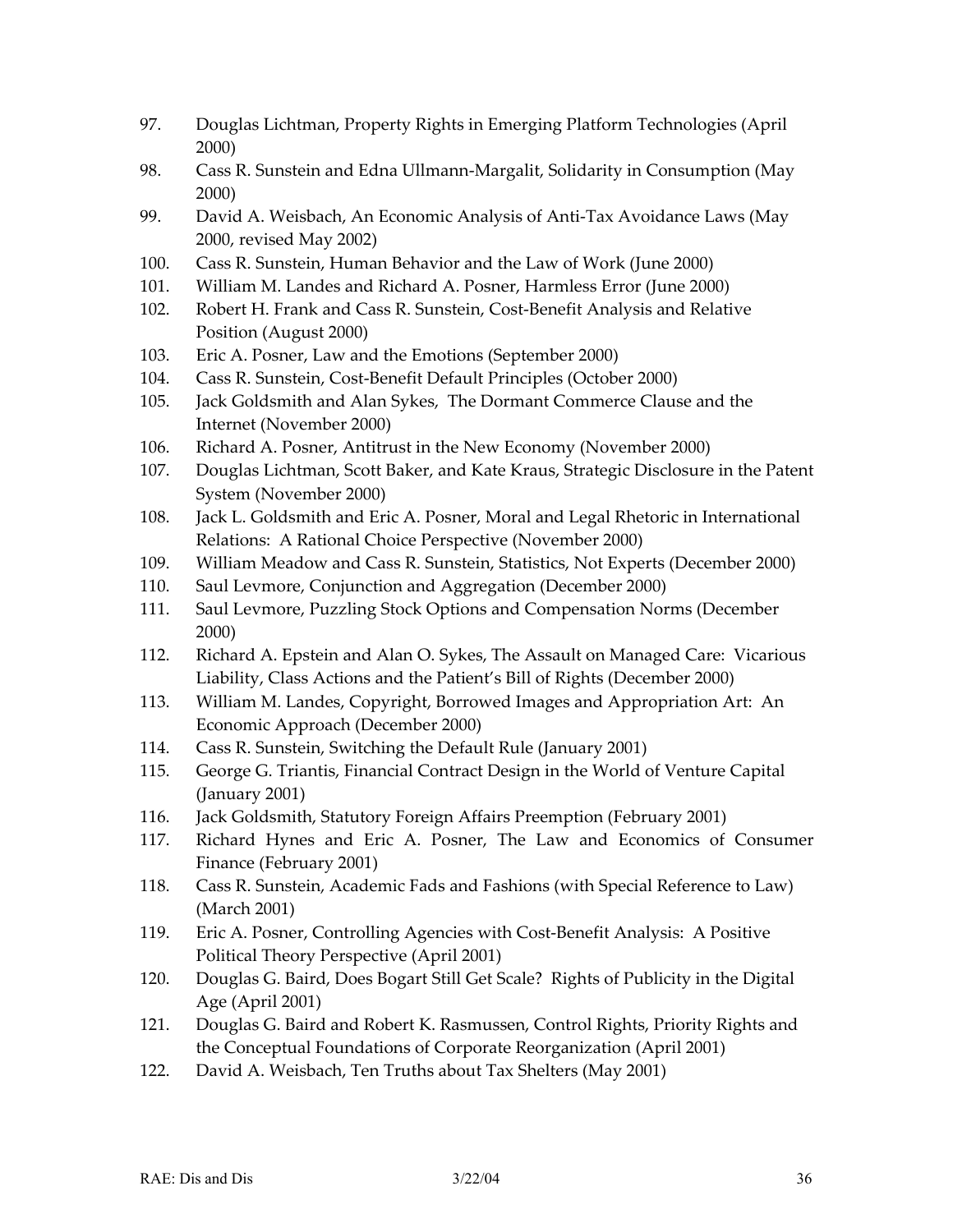- 97. Douglas Lichtman, Property Rights in Emerging Platform Technologies (April 2000)
- 98. Cass R. Sunstein and Edna Ullmann-Margalit, Solidarity in Consumption (May 2000)
- 99. David A. Weisbach, An Economic Analysis of Anti-Tax Avoidance Laws (May 2000, revised May 2002)
- 100. Cass R. Sunstein, Human Behavior and the Law of Work (June 2000)
- 101. William M. Landes and Richard A. Posner, Harmless Error (June 2000)
- 102. Robert H. Frank and Cass R. Sunstein, Cost-Benefit Analysis and Relative Position (August 2000)
- 103. Eric A. Posner, Law and the Emotions (September 2000)
- 104. Cass R. Sunstein, Cost-Benefit Default Principles (October 2000)
- 105. Jack Goldsmith and Alan Sykes, The Dormant Commerce Clause and the Internet (November 2000)
- 106. Richard A. Posner, Antitrust in the New Economy (November 2000)
- 107. Douglas Lichtman, Scott Baker, and Kate Kraus, Strategic Disclosure in the Patent System (November 2000)
- 108. Jack L. Goldsmith and Eric A. Posner, Moral and Legal Rhetoric in International Relations: A Rational Choice Perspective (November 2000)
- 109. William Meadow and Cass R. Sunstein, Statistics, Not Experts (December 2000)
- 110. Saul Levmore, Conjunction and Aggregation (December 2000)
- 111. Saul Levmore, Puzzling Stock Options and Compensation Norms (December 2000)
- 112. Richard A. Epstein and Alan O. Sykes, The Assault on Managed Care: Vicarious Liability, Class Actions and the Patient's Bill of Rights (December 2000)
- 113. William M. Landes, Copyright, Borrowed Images and Appropriation Art: An Economic Approach (December 2000)
- 114. Cass R. Sunstein, Switching the Default Rule (January 2001)
- 115. George G. Triantis, Financial Contract Design in the World of Venture Capital (January 2001)
- 116. Jack Goldsmith, Statutory Foreign Affairs Preemption (February 2001)
- 117. Richard Hynes and Eric A. Posner, The Law and Economics of Consumer Finance (February 2001)
- 118. Cass R. Sunstein, Academic Fads and Fashions (with Special Reference to Law) (March 2001)
- 119. Eric A. Posner, Controlling Agencies with Cost-Benefit Analysis: A Positive Political Theory Perspective (April 2001)
- 120. Douglas G. Baird, Does Bogart Still Get Scale? Rights of Publicity in the Digital Age (April 2001)
- 121. Douglas G. Baird and Robert K. Rasmussen, Control Rights, Priority Rights and the Conceptual Foundations of Corporate Reorganization (April 2001)
- 122. David A. Weisbach, Ten Truths about Tax Shelters (May 2001)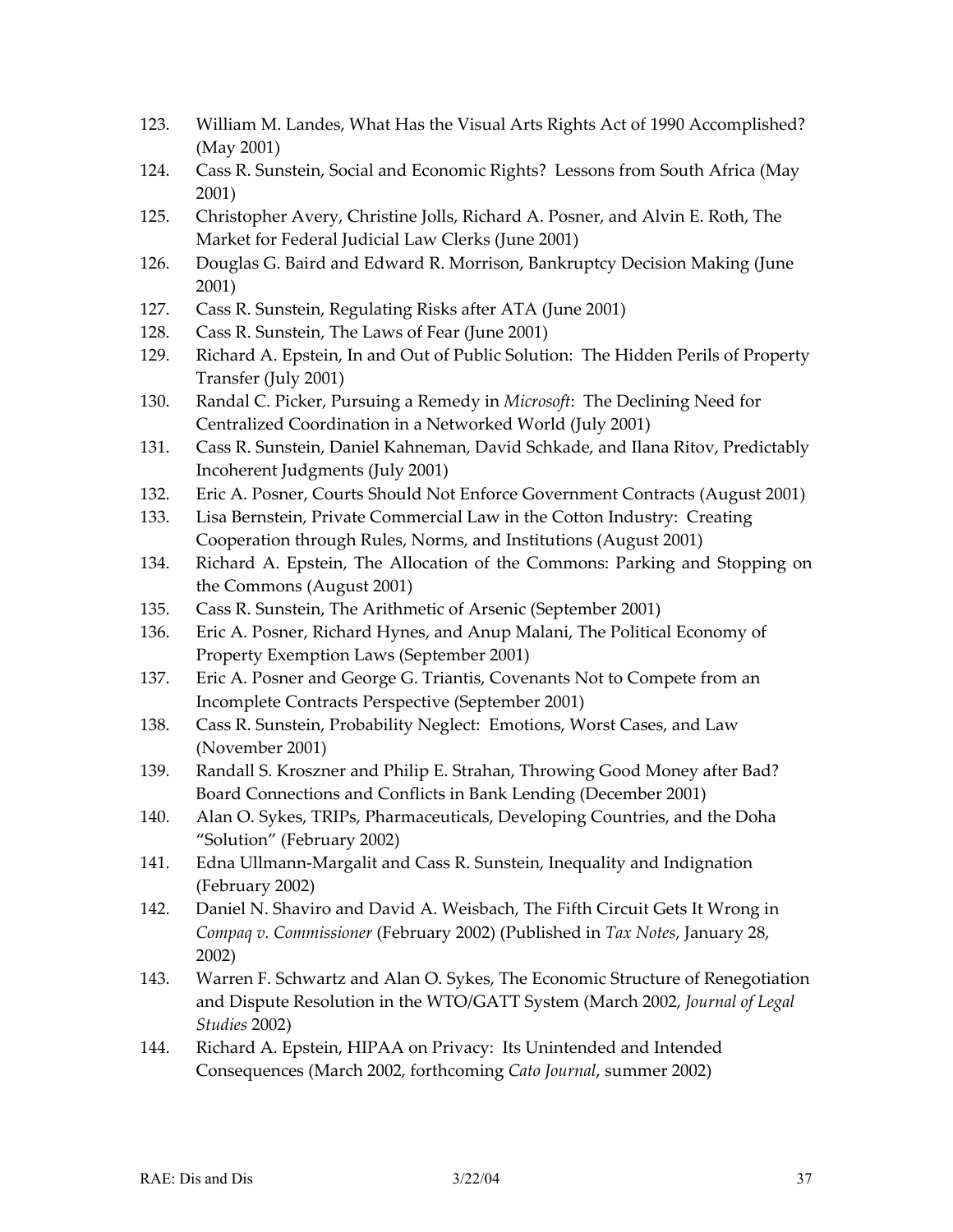- 123. William M. Landes, What Has the Visual Arts Rights Act of 1990 Accomplished? (May 2001)
- 124. Cass R. Sunstein, Social and Economic Rights? Lessons from South Africa (May 2001)
- 125. Christopher Avery, Christine Jolls, Richard A. Posner, and Alvin E. Roth, The Market for Federal Judicial Law Clerks (June 2001)
- 126. Douglas G. Baird and Edward R. Morrison, Bankruptcy Decision Making (June 2001)
- 127. Cass R. Sunstein, Regulating Risks after ATA (June 2001)
- 128. Cass R. Sunstein, The Laws of Fear (June 2001)
- 129. Richard A. Epstein, In and Out of Public Solution: The Hidden Perils of Property Transfer (July 2001)
- 130. Randal C. Picker, Pursuing a Remedy in *Microsoft*: The Declining Need for Centralized Coordination in a Networked World (July 2001)
- 131. Cass R. Sunstein, Daniel Kahneman, David Schkade, and Ilana Ritov, Predictably Incoherent Judgments (July 2001)
- 132. Eric A. Posner, Courts Should Not Enforce Government Contracts (August 2001)
- 133. Lisa Bernstein, Private Commercial Law in the Cotton Industry: Creating Cooperation through Rules, Norms, and Institutions (August 2001)
- 134. Richard A. Epstein, The Allocation of the Commons: Parking and Stopping on the Commons (August 2001)
- 135. Cass R. Sunstein, The Arithmetic of Arsenic (September 2001)
- 136. Eric A. Posner, Richard Hynes, and Anup Malani, The Political Economy of Property Exemption Laws (September 2001)
- 137. Eric A. Posner and George G. Triantis, Covenants Not to Compete from an Incomplete Contracts Perspective (September 2001)
- 138. Cass R. Sunstein, Probability Neglect: Emotions, Worst Cases, and Law (November 2001)
- 139. Randall S. Kroszner and Philip E. Strahan, Throwing Good Money after Bad? Board Connections and Conflicts in Bank Lending (December 2001)
- 140. Alan O. Sykes, TRIPs, Pharmaceuticals, Developing Countries, and the Doha "Solution" (February 2002)
- 141. Edna Ullmann-Margalit and Cass R. Sunstein, Inequality and Indignation (February 2002)
- 142. Daniel N. Shaviro and David A. Weisbach, The Fifth Circuit Gets It Wrong in *Compaq v. Commissioner* (February 2002) (Published in *Tax Notes*, January 28, 2002)
- 143. Warren F. Schwartz and Alan O. Sykes, The Economic Structure of Renegotiation and Dispute Resolution in the WTO/GATT System (March 2002, *Journal of Legal Studies* 2002)
- 144. Richard A. Epstein, HIPAA on Privacy: Its Unintended and Intended Consequences (March 2002, forthcoming *Cato Journal*, summer 2002)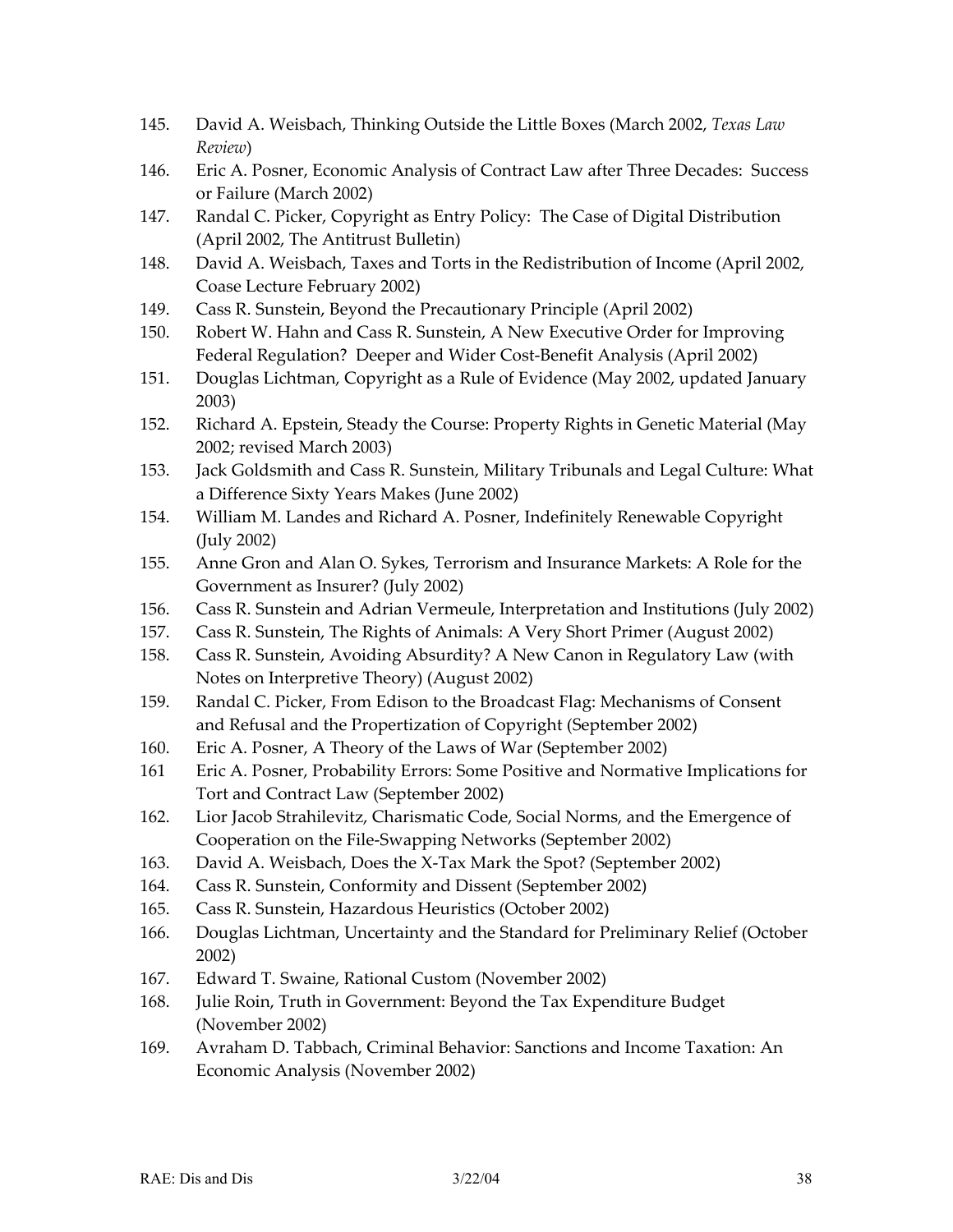- 145. David A. Weisbach, Thinking Outside the Little Boxes (March 2002, *Texas Law Review*)
- 146. Eric A. Posner, Economic Analysis of Contract Law after Three Decades: Success or Failure (March 2002)
- 147. Randal C. Picker, Copyright as Entry Policy: The Case of Digital Distribution (April 2002, The Antitrust Bulletin)
- 148. David A. Weisbach, Taxes and Torts in the Redistribution of Income (April 2002, Coase Lecture February 2002)
- 149. Cass R. Sunstein, Beyond the Precautionary Principle (April 2002)
- 150. Robert W. Hahn and Cass R. Sunstein, A New Executive Order for Improving Federal Regulation? Deeper and Wider Cost-Benefit Analysis (April 2002)
- 151. Douglas Lichtman, Copyright as a Rule of Evidence (May 2002, updated January 2003)
- 152. Richard A. Epstein, Steady the Course: Property Rights in Genetic Material (May 2002; revised March 2003)
- 153. Jack Goldsmith and Cass R. Sunstein, Military Tribunals and Legal Culture: What a Difference Sixty Years Makes (June 2002)
- 154. William M. Landes and Richard A. Posner, Indefinitely Renewable Copyright (July 2002)
- 155. Anne Gron and Alan O. Sykes, Terrorism and Insurance Markets: A Role for the Government as Insurer? (July 2002)
- 156. Cass R. Sunstein and Adrian Vermeule, Interpretation and Institutions (July 2002)
- 157. Cass R. Sunstein, The Rights of Animals: A Very Short Primer (August 2002)
- 158. Cass R. Sunstein, Avoiding Absurdity? A New Canon in Regulatory Law (with Notes on Interpretive Theory) (August 2002)
- 159. Randal C. Picker, From Edison to the Broadcast Flag: Mechanisms of Consent and Refusal and the Propertization of Copyright (September 2002)
- 160. Eric A. Posner, A Theory of the Laws of War (September 2002)
- 161 Eric A. Posner, Probability Errors: Some Positive and Normative Implications for Tort and Contract Law (September 2002)
- 162. Lior Jacob Strahilevitz, Charismatic Code, Social Norms, and the Emergence of Cooperation on the File-Swapping Networks (September 2002)
- 163. David A. Weisbach, Does the X-Tax Mark the Spot? (September 2002)
- 164. Cass R. Sunstein, Conformity and Dissent (September 2002)
- 165. Cass R. Sunstein, Hazardous Heuristics (October 2002)
- 166. Douglas Lichtman, Uncertainty and the Standard for Preliminary Relief (October 2002)
- 167. Edward T. Swaine, Rational Custom (November 2002)
- 168. Julie Roin, Truth in Government: Beyond the Tax Expenditure Budget (November 2002)
- 169. Avraham D. Tabbach, Criminal Behavior: Sanctions and Income Taxation: An Economic Analysis (November 2002)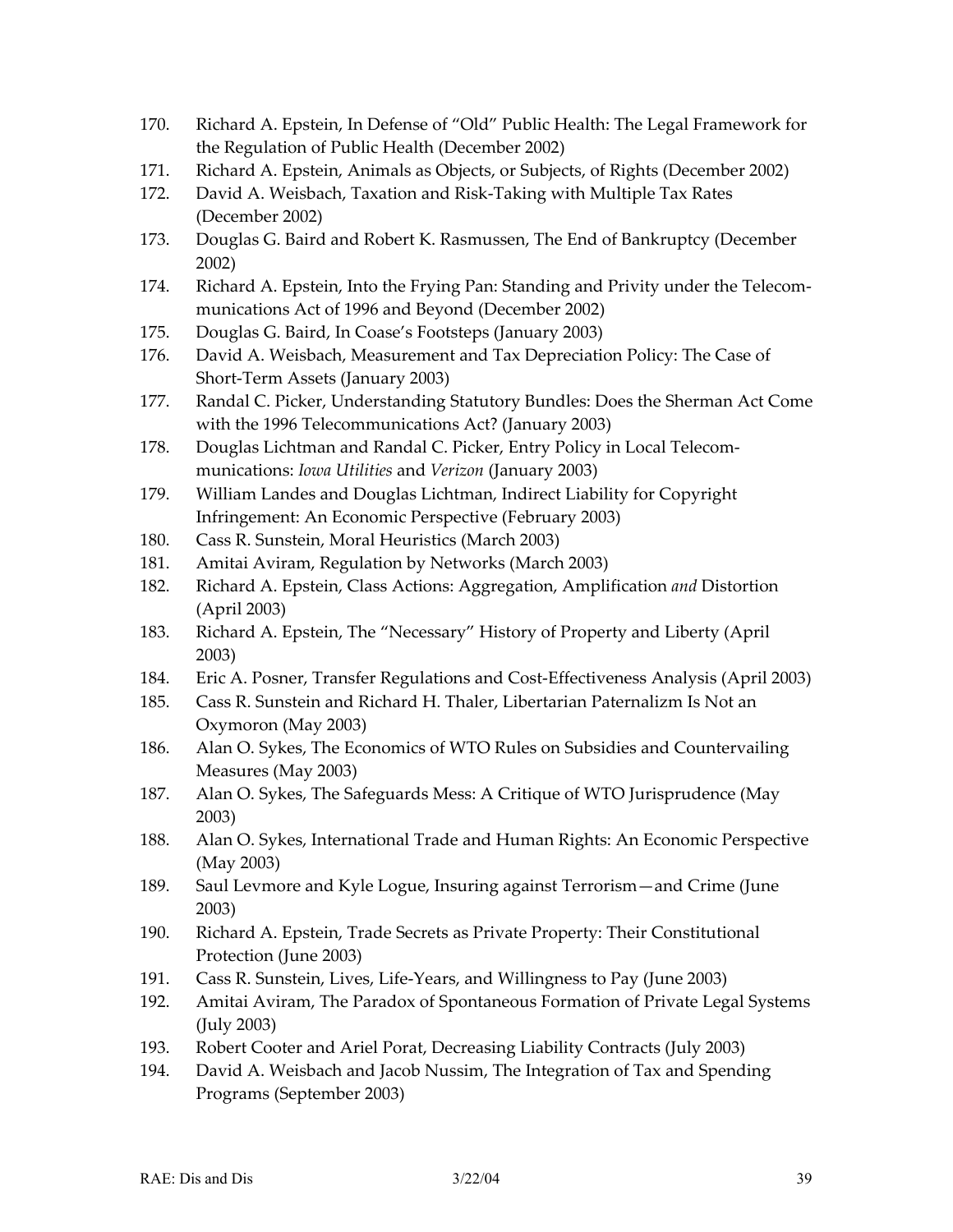- 170. Richard A. Epstein, In Defense of "Old" Public Health: The Legal Framework for the Regulation of Public Health (December 2002)
- 171. Richard A. Epstein, Animals as Objects, or Subjects, of Rights (December 2002)
- 172. David A. Weisbach, Taxation and Risk-Taking with Multiple Tax Rates (December 2002)
- 173. Douglas G. Baird and Robert K. Rasmussen, The End of Bankruptcy (December 2002)
- 174. Richard A. Epstein, Into the Frying Pan: Standing and Privity under the Telecommunications Act of 1996 and Beyond (December 2002)
- 175. Douglas G. Baird, In Coase's Footsteps (January 2003)
- 176. David A. Weisbach, Measurement and Tax Depreciation Policy: The Case of Short-Term Assets (January 2003)
- 177. Randal C. Picker, Understanding Statutory Bundles: Does the Sherman Act Come with the 1996 Telecommunications Act? (January 2003)
- 178. Douglas Lichtman and Randal C. Picker, Entry Policy in Local Telecommunications: *Iowa Utilities* and *Verizon* (January 2003)
- 179. William Landes and Douglas Lichtman, Indirect Liability for Copyright Infringement: An Economic Perspective (February 2003)
- 180. Cass R. Sunstein, Moral Heuristics (March 2003)
- 181. Amitai Aviram, Regulation by Networks (March 2003)
- 182. Richard A. Epstein, Class Actions: Aggregation, Amplification *and* Distortion (April 2003)
- 183. Richard A. Epstein, The "Necessary" History of Property and Liberty (April 2003)
- 184. Eric A. Posner, Transfer Regulations and Cost-Effectiveness Analysis (April 2003)
- 185. Cass R. Sunstein and Richard H. Thaler, Libertarian Paternalizm Is Not an Oxymoron (May 2003)
- 186. Alan O. Sykes, The Economics of WTO Rules on Subsidies and Countervailing Measures (May 2003)
- 187. Alan O. Sykes, The Safeguards Mess: A Critique of WTO Jurisprudence (May 2003)
- 188. Alan O. Sykes, International Trade and Human Rights: An Economic Perspective (May 2003)
- 189. Saul Levmore and Kyle Logue, Insuring against Terrorism—and Crime (June 2003)
- 190. Richard A. Epstein, Trade Secrets as Private Property: Their Constitutional Protection (June 2003)
- 191. Cass R. Sunstein, Lives, Life-Years, and Willingness to Pay (June 2003)
- 192. Amitai Aviram, The Paradox of Spontaneous Formation of Private Legal Systems (July 2003)
- 193. Robert Cooter and Ariel Porat, Decreasing Liability Contracts (July 2003)
- 194. David A. Weisbach and Jacob Nussim, The Integration of Tax and Spending Programs (September 2003)